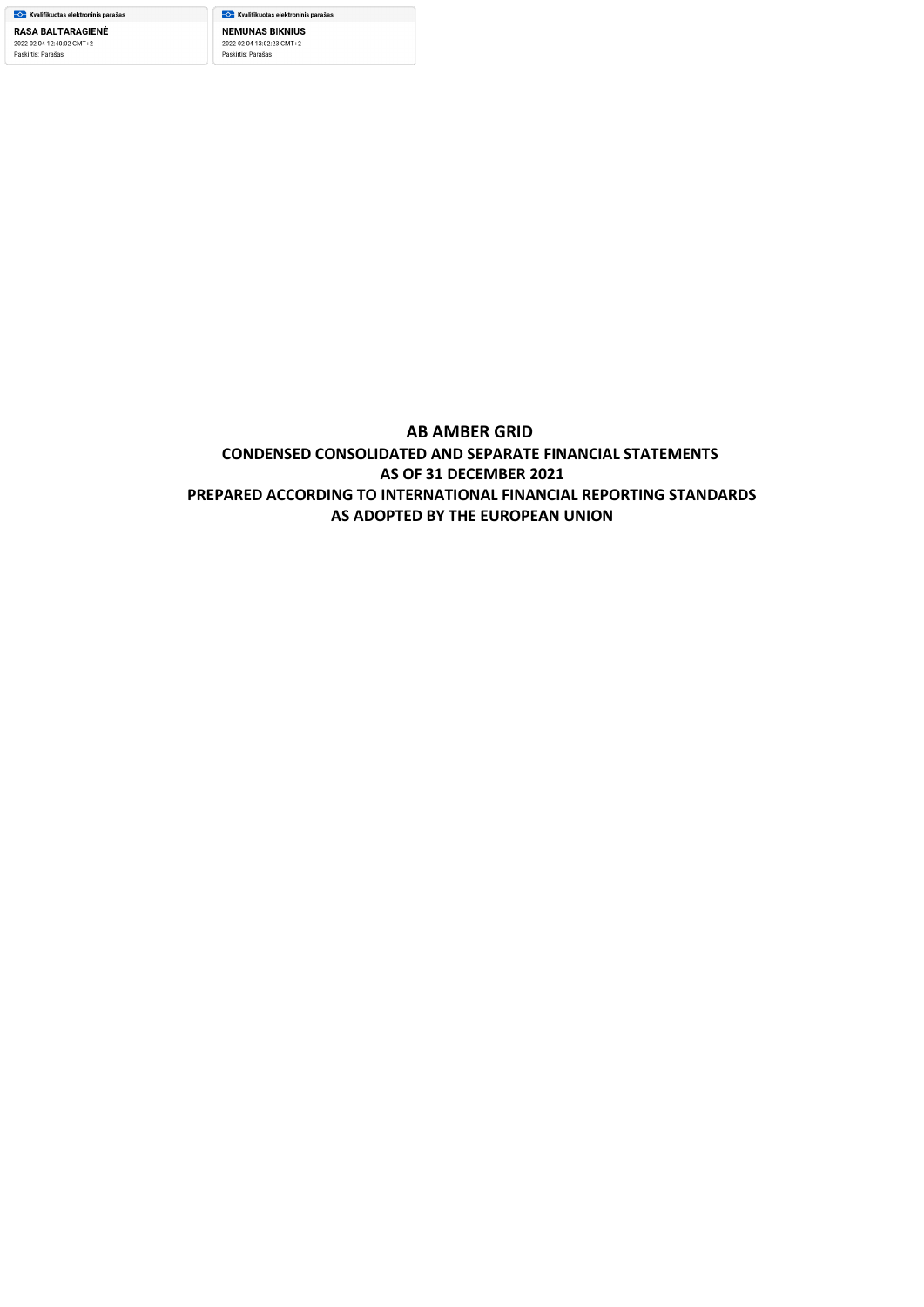<del>–</del><mark>◇ K</mark>valifikuotas elektroninis parašas **NEMUNAS BIKNIUS** 2022-02-04 13:02:23 GMT+2 Paskirtis: Parašas

### **AB AMBER GRID CONDENSED CONSOLIDATED AND SEPARATE FINANCIAL STATEMENTS AS OF 31 DECEMBER 2021 PREPARED ACCORDING TO INTERNATIONAL FINANCIAL REPORTING STANDARDS AS ADOPTED BY THE EUROPEAN UNION**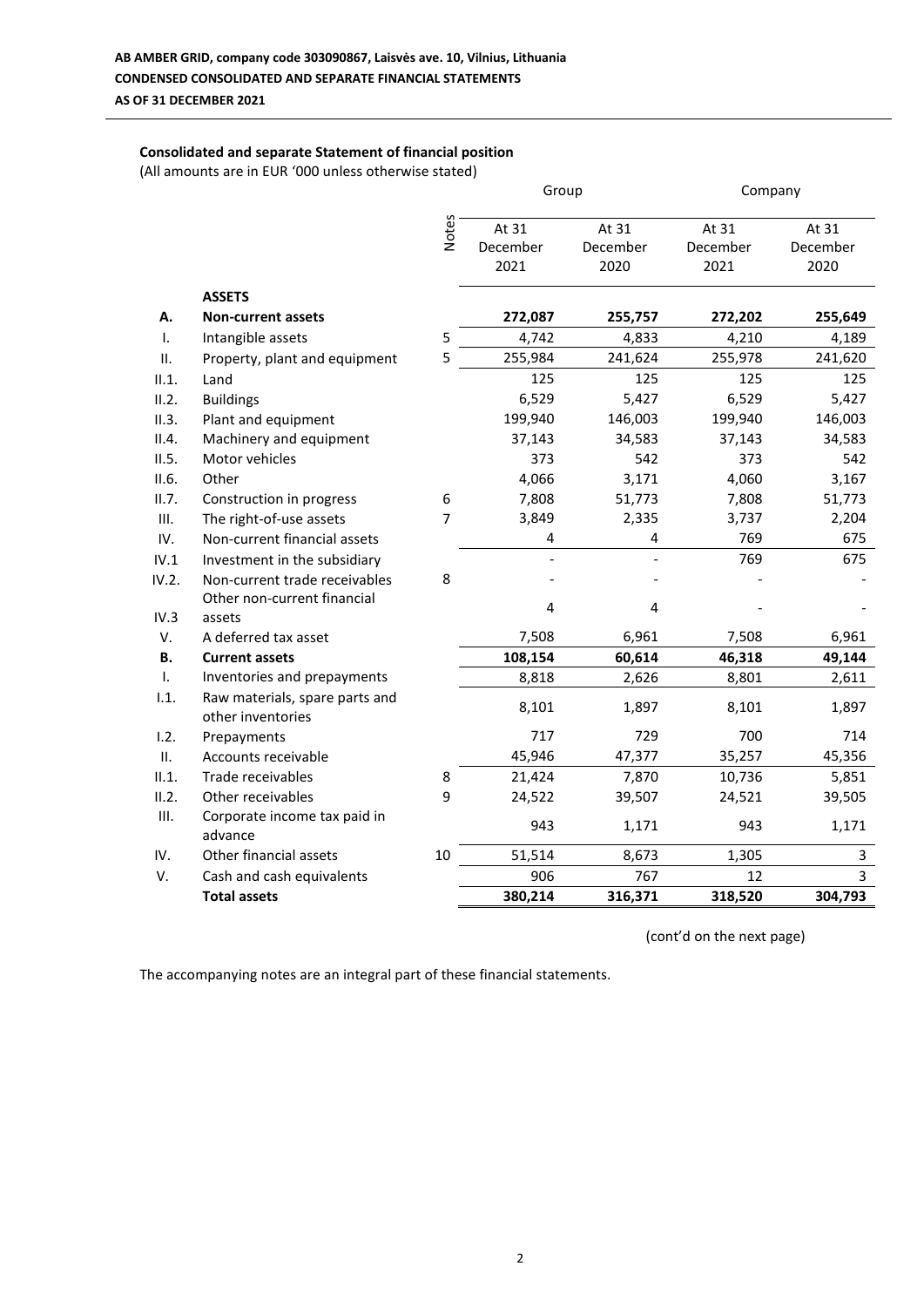### **Consolidated and separate Statement of financial position**

(All amounts are in EUR '000 unless otherwise stated)

|           |                                                     |                | Group                   |          | Company  |          |
|-----------|-----------------------------------------------------|----------------|-------------------------|----------|----------|----------|
|           |                                                     | Notes          | At 31                   | At 31    | At 31    | At 31    |
|           |                                                     |                | December                | December | December | December |
|           |                                                     |                | 2021                    | 2020     | 2021     | 2020     |
|           | <b>ASSETS</b>                                       |                |                         |          |          |          |
| А.        | <b>Non-current assets</b>                           |                | 272,087                 | 255,757  | 272,202  | 255,649  |
| Τ.        | Intangible assets                                   | 5              | 4,742                   | 4,833    | 4,210    | 4,189    |
| ΙΙ.       | Property, plant and equipment                       | 5              | 255,984                 | 241,624  | 255,978  | 241,620  |
| II.1.     | Land                                                |                | 125                     | 125      | 125      | 125      |
| II.2.     | <b>Buildings</b>                                    |                | 6,529                   | 5,427    | 6,529    | 5,427    |
| II.3.     | Plant and equipment                                 |                | 199,940                 | 146,003  | 199,940  | 146,003  |
| II.4.     | Machinery and equipment                             |                | 37,143                  | 34,583   | 37,143   | 34,583   |
| II.5.     | Motor vehicles                                      |                | 373                     | 542      | 373      | 542      |
| II.6.     | Other                                               |                | 4,066                   | 3,171    | 4,060    | 3,167    |
| II.7.     | Construction in progress                            | 6              | 7,808                   | 51,773   | 7,808    | 51,773   |
| III.      | The right-of-use assets                             | $\overline{7}$ | 3,849                   | 2,335    | 3,737    | 2,204    |
| IV.       | Non-current financial assets                        |                | 4                       | 4        | 769      | 675      |
| IV.1      | Investment in the subsidiary                        |                |                         |          | 769      | 675      |
| IV.2.     | Non-current trade receivables                       | 8              |                         |          |          |          |
|           | Other non-current financial                         |                | $\overline{\mathbf{4}}$ | 4        |          |          |
| IV.3      | assets                                              |                |                         |          |          |          |
| V.        | A deferred tax asset                                |                | 7,508                   | 6,961    | 7,508    | 6,961    |
| <b>B.</b> | <b>Current assets</b>                               |                | 108,154                 | 60,614   | 46,318   | 49,144   |
| Τ.        | Inventories and prepayments                         |                | 8,818                   | 2,626    | 8,801    | 2,611    |
| 1.1.      | Raw materials, spare parts and<br>other inventories |                | 8,101                   | 1,897    | 8,101    | 1,897    |
| 1.2.      | Prepayments                                         |                | 717                     | 729      | 700      | 714      |
| II.       | Accounts receivable                                 |                | 45,946                  | 47,377   | 35,257   | 45,356   |
| II.1.     | Trade receivables                                   | 8              | 21,424                  | 7,870    | 10,736   | 5,851    |
| II.2.     | Other receivables                                   | 9              | 24,522                  | 39,507   | 24,521   | 39,505   |
| III.      | Corporate income tax paid in<br>advance             |                | 943                     | 1,171    | 943      | 1,171    |
| IV.       | Other financial assets                              | 10             | 51,514                  | 8,673    | 1,305    | 3        |
| V.        | Cash and cash equivalents                           |                | 906                     | 767      | 12       | 3        |
|           | <b>Total assets</b>                                 |                | 380,214                 | 316,371  | 318,520  | 304,793  |

(cont'd on the next page)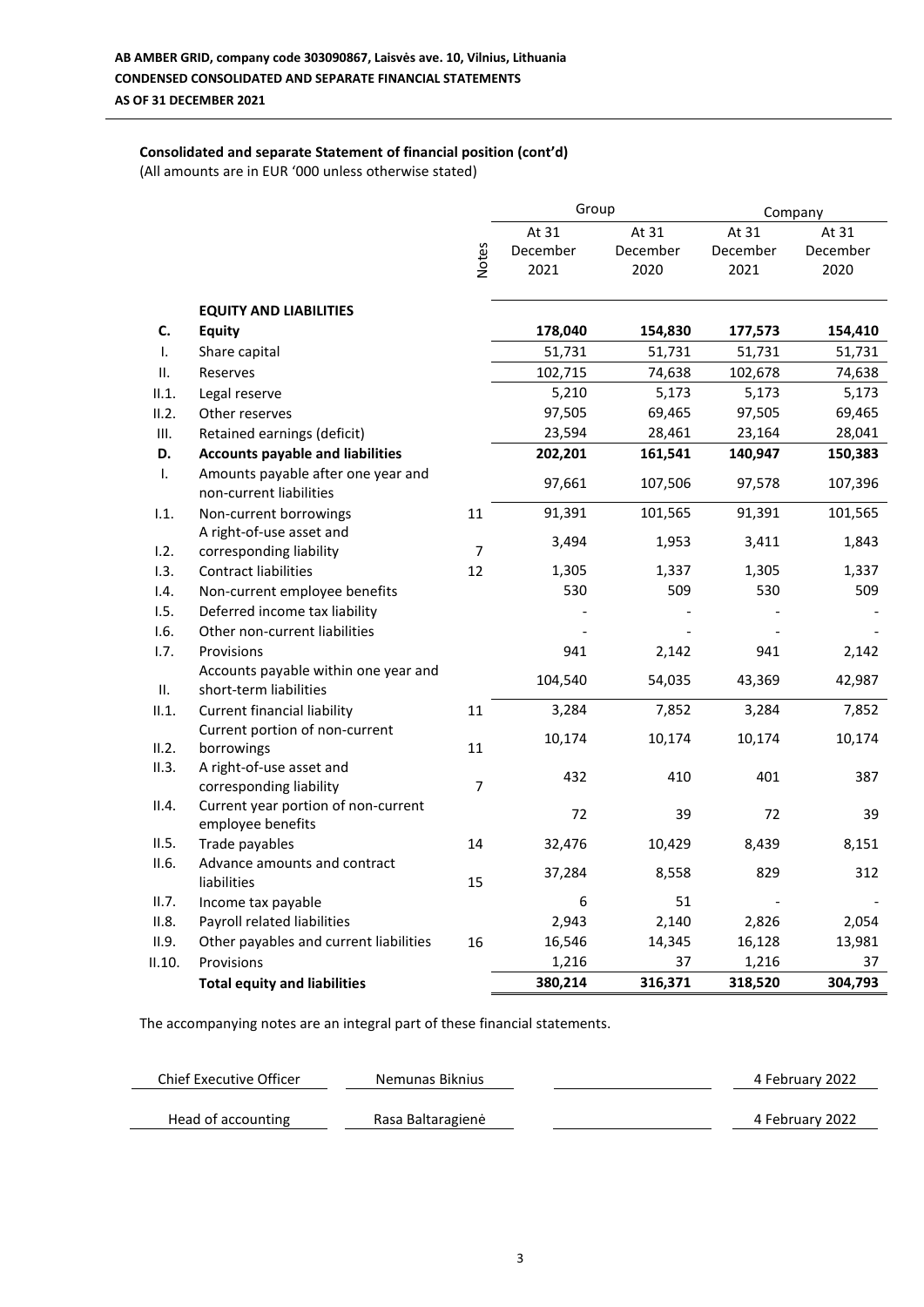### **Consolidated and separate Statement of financial position (cont'd)**

(All amounts are in EUR '000 unless otherwise stated)

|        |                                                                |                | Group    |          |          | Company  |
|--------|----------------------------------------------------------------|----------------|----------|----------|----------|----------|
|        |                                                                |                | At 31    | At 31    | At 31    | At 31    |
|        |                                                                | Notes          | December | December | December | December |
|        |                                                                |                | 2021     | 2020     | 2021     | 2020     |
|        | <b>EQUITY AND LIABILITIES</b>                                  |                |          |          |          |          |
| C.     | Equity                                                         |                | 178,040  | 154,830  | 177,573  | 154,410  |
| Τ.     | Share capital                                                  |                | 51,731   | 51,731   | 51,731   | 51,731   |
| Π.     | Reserves                                                       |                | 102,715  | 74,638   | 102,678  | 74,638   |
| II.1.  | Legal reserve                                                  |                | 5,210    | 5,173    | 5,173    | 5,173    |
| II.2.  | Other reserves                                                 |                | 97,505   | 69,465   | 97,505   | 69,465   |
| III.   | Retained earnings (deficit)                                    |                | 23,594   | 28,461   | 23,164   | 28,041   |
| D.     | <b>Accounts payable and liabilities</b>                        |                | 202,201  | 161,541  | 140,947  | 150,383  |
| Τ.     | Amounts payable after one year and<br>non-current liabilities  |                | 97,661   | 107,506  | 97,578   | 107,396  |
| 1.1.   | Non-current borrowings                                         | 11             | 91,391   | 101,565  | 91,391   | 101,565  |
|        | A right-of-use asset and                                       |                | 3,494    | 1,953    | 3,411    | 1,843    |
| 1.2.   | corresponding liability                                        | $\overline{7}$ |          |          |          |          |
| 1.3.   | <b>Contract liabilities</b>                                    | 12             | 1,305    | 1,337    | 1,305    | 1,337    |
| 1.4.   | Non-current employee benefits                                  |                | 530      | 509      | 530      | 509      |
| 1.5.   | Deferred income tax liability                                  |                |          |          |          |          |
| 1.6.   | Other non-current liabilities                                  |                |          |          |          |          |
| 1.7.   | Provisions                                                     |                | 941      | 2,142    | 941      | 2,142    |
| ΙΙ.    | Accounts payable within one year and<br>short-term liabilities |                | 104,540  | 54,035   | 43,369   | 42,987   |
| II.1.  | <b>Current financial liability</b>                             | 11             | 3,284    | 7,852    | 3,284    | 7,852    |
|        | Current portion of non-current                                 |                | 10,174   | 10,174   | 10,174   | 10,174   |
| II.2.  | borrowings                                                     | 11             |          |          |          |          |
| II.3.  | A right-of-use asset and<br>corresponding liability            | $\overline{7}$ | 432      | 410      | 401      | 387      |
| II.4.  | Current year portion of non-current<br>employee benefits       |                | 72       | 39       | 72       | 39       |
| II.5.  | Trade payables                                                 | 14             | 32,476   | 10,429   | 8,439    | 8,151    |
| II.6.  | Advance amounts and contract                                   |                | 37,284   | 8,558    | 829      | 312      |
|        | liabilities                                                    | 15             |          |          |          |          |
| II.7.  | Income tax payable                                             |                | 6        | 51       |          |          |
| II.8.  | Payroll related liabilities                                    |                | 2,943    | 2,140    | 2,826    | 2,054    |
| II.9.  | Other payables and current liabilities                         | 16             | 16,546   | 14,345   | 16,128   | 13,981   |
| II.10. | Provisions                                                     |                | 1,216    | 37       | 1,216    | 37       |
|        | <b>Total equity and liabilities</b>                            |                | 380,214  | 316,371  | 318,520  | 304,793  |

| Chief Executive Officer | Nemunas Biknius   | 4 February 2022 |
|-------------------------|-------------------|-----------------|
| Head of accounting      | Rasa Baltaragienė | 4 February 2022 |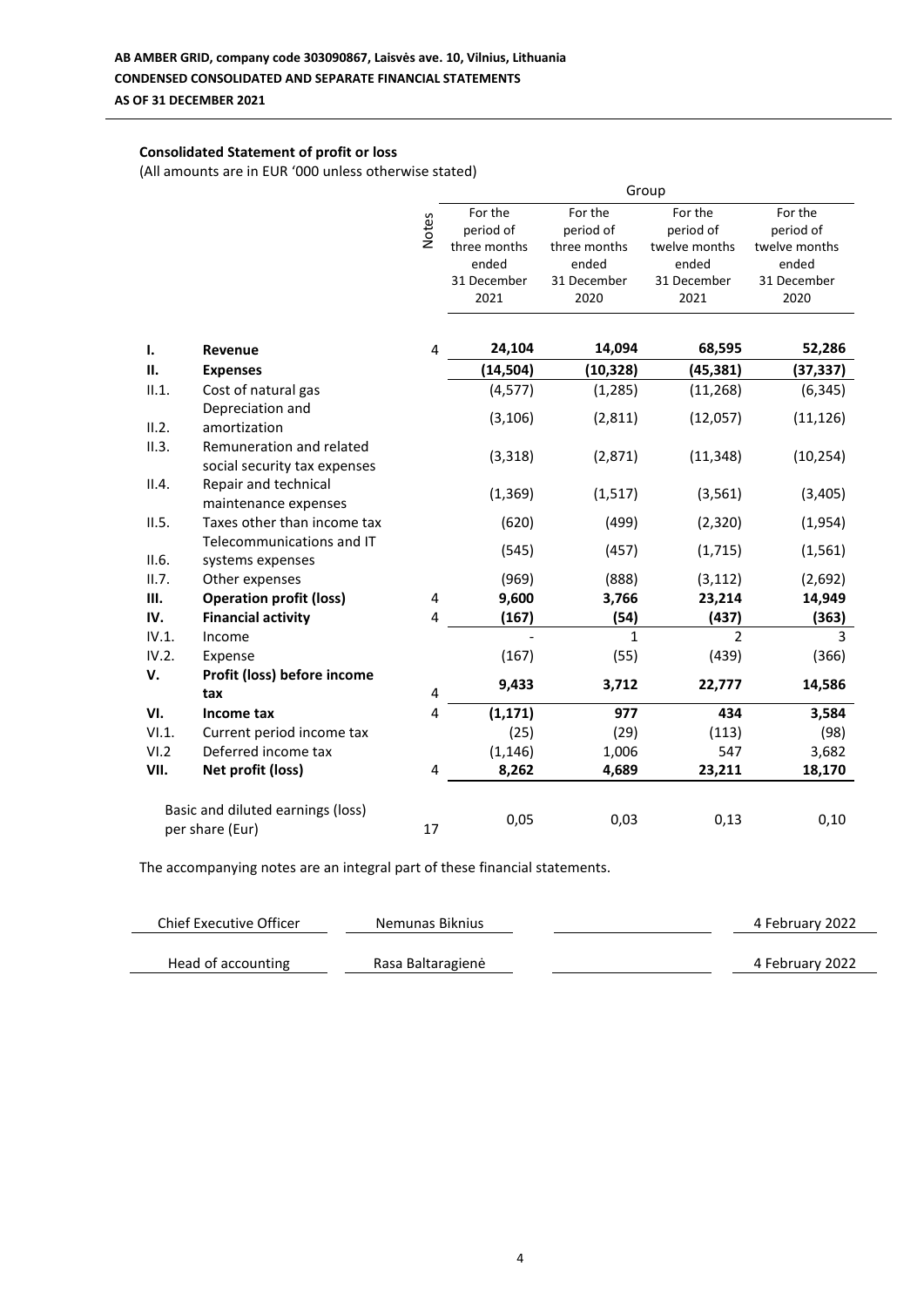### **Consolidated Statement of profit or loss**

(All amounts are in EUR '000 unless otherwise stated)

|       |                                                          | Group                   |                      |                      |                      |                      |
|-------|----------------------------------------------------------|-------------------------|----------------------|----------------------|----------------------|----------------------|
|       |                                                          | <b>Notes</b>            | For the<br>period of | For the<br>period of | For the<br>period of | For the<br>period of |
|       |                                                          |                         | three months         | three months         | twelve months        | twelve months        |
|       |                                                          |                         | ended                | ended                | ended                | ended                |
|       |                                                          |                         | 31 December          | 31 December          | 31 December          | 31 December          |
|       |                                                          |                         | 2021                 | 2020                 | 2021                 | 2020                 |
| Ι.    | Revenue                                                  | $\overline{\mathbf{4}}$ | 24,104               | 14,094               | 68,595               | 52,286               |
| II.   | <b>Expenses</b>                                          |                         | (14, 504)            | (10, 328)            | (45, 381)            | (37, 337)            |
| II.1. | Cost of natural gas                                      |                         | (4, 577)             | (1, 285)             | (11, 268)            | (6, 345)             |
|       | Depreciation and                                         |                         |                      |                      |                      |                      |
| II.2. | amortization                                             |                         | (3, 106)             | (2,811)              | (12,057)             | (11, 126)            |
| II.3. | Remuneration and related<br>social security tax expenses |                         | (3, 318)             | (2,871)              | (11, 348)            | (10, 254)            |
| II.4. | Repair and technical<br>maintenance expenses             |                         | (1, 369)             | (1, 517)             | (3, 561)             | (3,405)              |
| II.5. | Taxes other than income tax                              |                         | (620)                | (499)                | (2, 320)             | (1,954)              |
|       | Telecommunications and IT                                |                         | (545)                | (457)                | (1, 715)             | (1, 561)             |
| II.6. | systems expenses                                         |                         |                      |                      |                      |                      |
| II.7. | Other expenses                                           |                         | (969)                | (888)                | (3, 112)             | (2,692)              |
| III.  | <b>Operation profit (loss)</b>                           | 4                       | 9,600                | 3,766                | 23,214               | 14,949               |
| IV.   | <b>Financial activity</b>                                | 4                       | (167)                | (54)                 | (437)                | (363)                |
| IV.1. | Income                                                   |                         |                      | 1                    | $\mathfrak{p}$       | $\overline{3}$       |
| IV.2. | Expense                                                  |                         | (167)                | (55)                 | (439)                | (366)                |
| V.    | Profit (loss) before income                              |                         | 9,433                | 3,712                | 22,777               | 14,586               |
|       | tax                                                      | 4                       |                      |                      |                      |                      |
| VI.   | Income tax                                               | $\overline{4}$          | (1, 171)             | 977                  | 434                  | 3,584                |
| VI.1. | Current period income tax                                |                         | (25)                 | (29)                 | (113)                | (98)                 |
| VI.2  | Deferred income tax                                      |                         | (1, 146)             | 1,006                | 547                  | 3,682                |
| VII.  | Net profit (loss)                                        | 4                       | 8,262                | 4,689                | 23,211               | 18,170               |
|       | Basic and diluted earnings (loss)                        |                         |                      |                      |                      |                      |
|       | per share (Eur)                                          | 17                      | 0,05                 | 0,03                 | 0,13                 | 0,10                 |

| Chief Executive Officer | Nemunas Biknius   | 4 February 2022 |
|-------------------------|-------------------|-----------------|
| Head of accounting      | Rasa Baltaragienė | 4 February 2022 |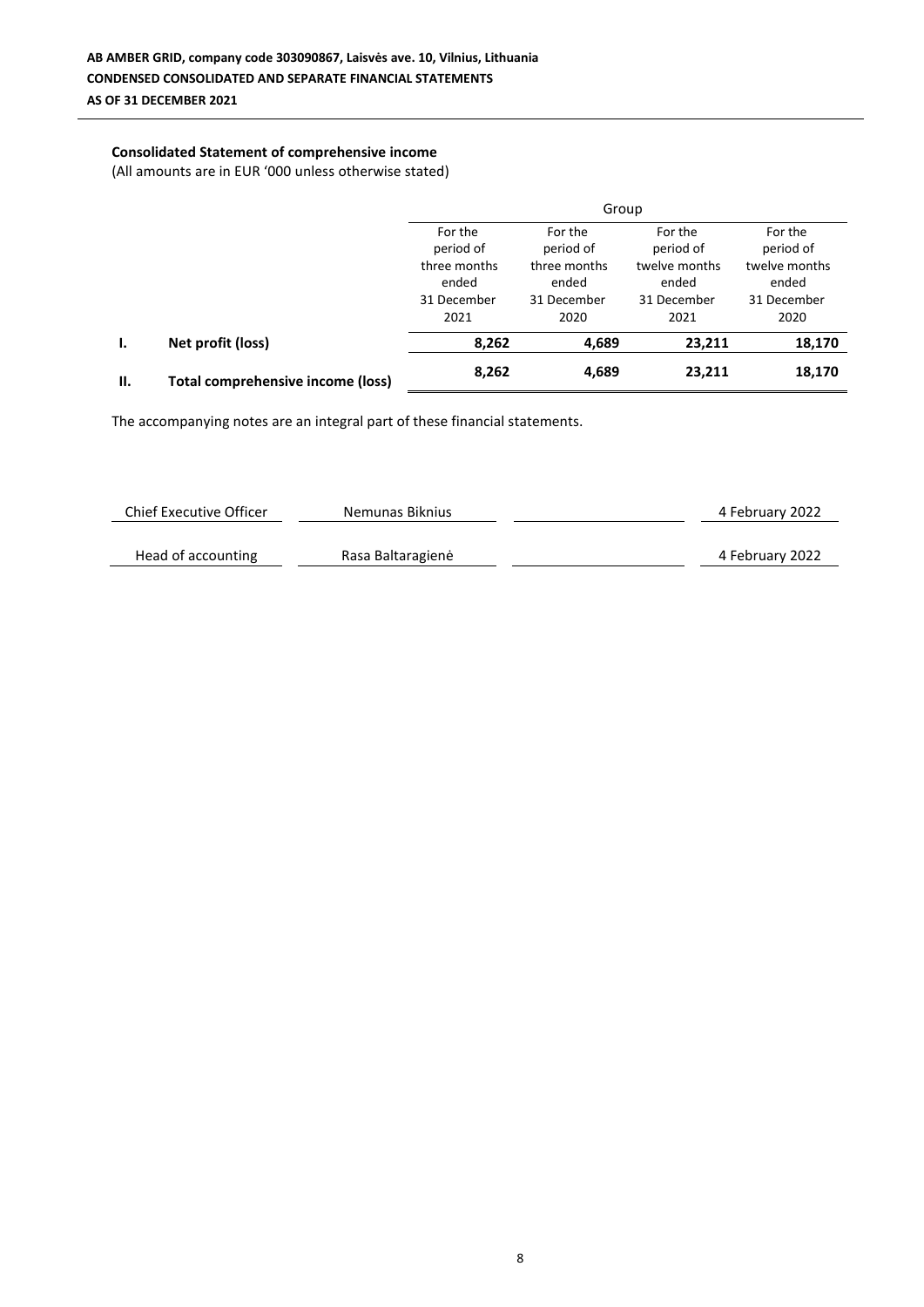### **Consolidated Statement of comprehensive income**

(All amounts are in EUR '000 unless otherwise stated)

|     |                                   | Group                 |                       |                        |                        |  |
|-----|-----------------------------------|-----------------------|-----------------------|------------------------|------------------------|--|
|     |                                   | For the<br>period of  | For the<br>period of  | For the<br>period of   | For the<br>period of   |  |
|     |                                   | three months<br>ended | three months<br>ended | twelve months<br>ended | twelve months<br>ended |  |
|     |                                   | 31 December<br>2021   | 31 December<br>2020   | 31 December<br>2021    | 31 December<br>2020    |  |
| Ι.  | Net profit (loss)                 | 8,262                 | 4,689                 | 23,211                 | 18,170                 |  |
| II. | Total comprehensive income (loss) | 8,262                 | 4,689                 | 23,211                 | 18,170                 |  |

| Chief Executive Officer | Nemunas Biknius   | 4 February 2022 |
|-------------------------|-------------------|-----------------|
|                         |                   |                 |
| Head of accounting      | Rasa Baltaragienė | 4 February 2022 |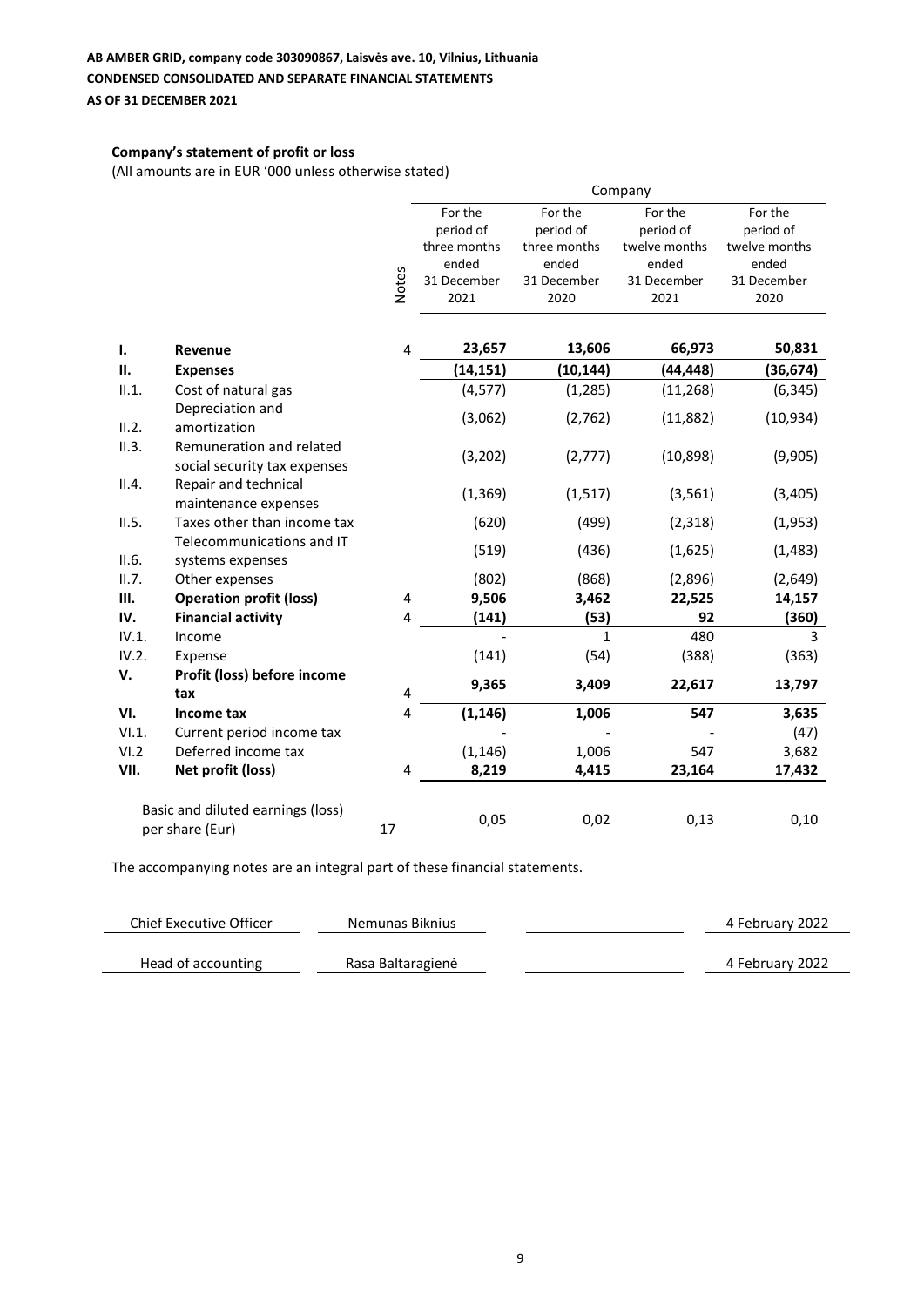### **Company's statement of profit or loss**

(All amounts are in EUR '000 unless otherwise stated)

|       |                                                          | Company        |                                               |                                               |                                                |                                                |
|-------|----------------------------------------------------------|----------------|-----------------------------------------------|-----------------------------------------------|------------------------------------------------|------------------------------------------------|
|       |                                                          |                | For the<br>period of<br>three months<br>ended | For the<br>period of<br>three months<br>ended | For the<br>period of<br>twelve months<br>ended | For the<br>period of<br>twelve months<br>ended |
|       |                                                          | <b>Notes</b>   | 31 December                                   | 31 December                                   | 31 December                                    | 31 December                                    |
|       |                                                          |                | 2021                                          | 2020                                          | 2021                                           | 2020                                           |
| Ι.    | Revenue                                                  | $\overline{4}$ | 23,657                                        | 13,606                                        | 66,973                                         | 50,831                                         |
| П.    | <b>Expenses</b>                                          |                | (14, 151)                                     | (10, 144)                                     | (44, 448)                                      | (36, 674)                                      |
| II.1. | Cost of natural gas                                      |                | (4, 577)                                      | (1, 285)                                      | (11, 268)                                      | (6, 345)                                       |
| II.2. | Depreciation and<br>amortization                         |                | (3,062)                                       | (2,762)                                       | (11,882)                                       | (10, 934)                                      |
| II.3. | Remuneration and related<br>social security tax expenses |                | (3, 202)                                      | (2,777)                                       | (10, 898)                                      | (9,905)                                        |
| II.4. | Repair and technical<br>maintenance expenses             |                | (1, 369)                                      | (1, 517)                                      | (3, 561)                                       | (3,405)                                        |
| II.5. | Taxes other than income tax                              |                | (620)                                         | (499)                                         | (2, 318)                                       | (1,953)                                        |
|       | Telecommunications and IT                                |                | (519)                                         | (436)                                         | (1,625)                                        | (1,483)                                        |
| II.6. | systems expenses                                         |                |                                               |                                               |                                                |                                                |
| II.7. | Other expenses                                           |                | (802)                                         | (868)                                         | (2,896)                                        | (2,649)                                        |
| Ш.    | <b>Operation profit (loss)</b>                           | 4              | 9,506                                         | 3,462                                         | 22,525                                         | 14,157                                         |
| IV.   | <b>Financial activity</b>                                | 4              | (141)                                         | (53)                                          | 92                                             | (360)                                          |
| IV.1. | Income                                                   |                |                                               | 1                                             | 480                                            | $\overline{3}$                                 |
| IV.2. | Expense                                                  |                | (141)                                         | (54)                                          | (388)                                          | (363)                                          |
| V.    | Profit (loss) before income                              |                | 9,365                                         | 3,409                                         | 22,617                                         | 13,797                                         |
|       | tax                                                      | 4              |                                               |                                               |                                                |                                                |
| VI.   | Income tax                                               | 4              | (1, 146)                                      | 1,006                                         | 547                                            | 3,635                                          |
| VI.1. | Current period income tax                                |                |                                               |                                               |                                                | (47)                                           |
| VI.2  | Deferred income tax                                      |                | (1, 146)                                      | 1,006                                         | 547                                            | 3,682                                          |
| VII.  | Net profit (loss)                                        | 4              | 8,219                                         | 4,415                                         | 23,164                                         | 17,432                                         |
|       | Basic and diluted earnings (loss)                        |                | 0,05                                          | 0,02                                          | 0,13                                           | 0,10                                           |
|       | per share (Eur)                                          | 17             |                                               |                                               |                                                |                                                |

| Chief Executive Officer | Nemunas Biknius   | 4 February 2022 |
|-------------------------|-------------------|-----------------|
| Head of accounting      | Rasa Baltaragienė | 4 February 2022 |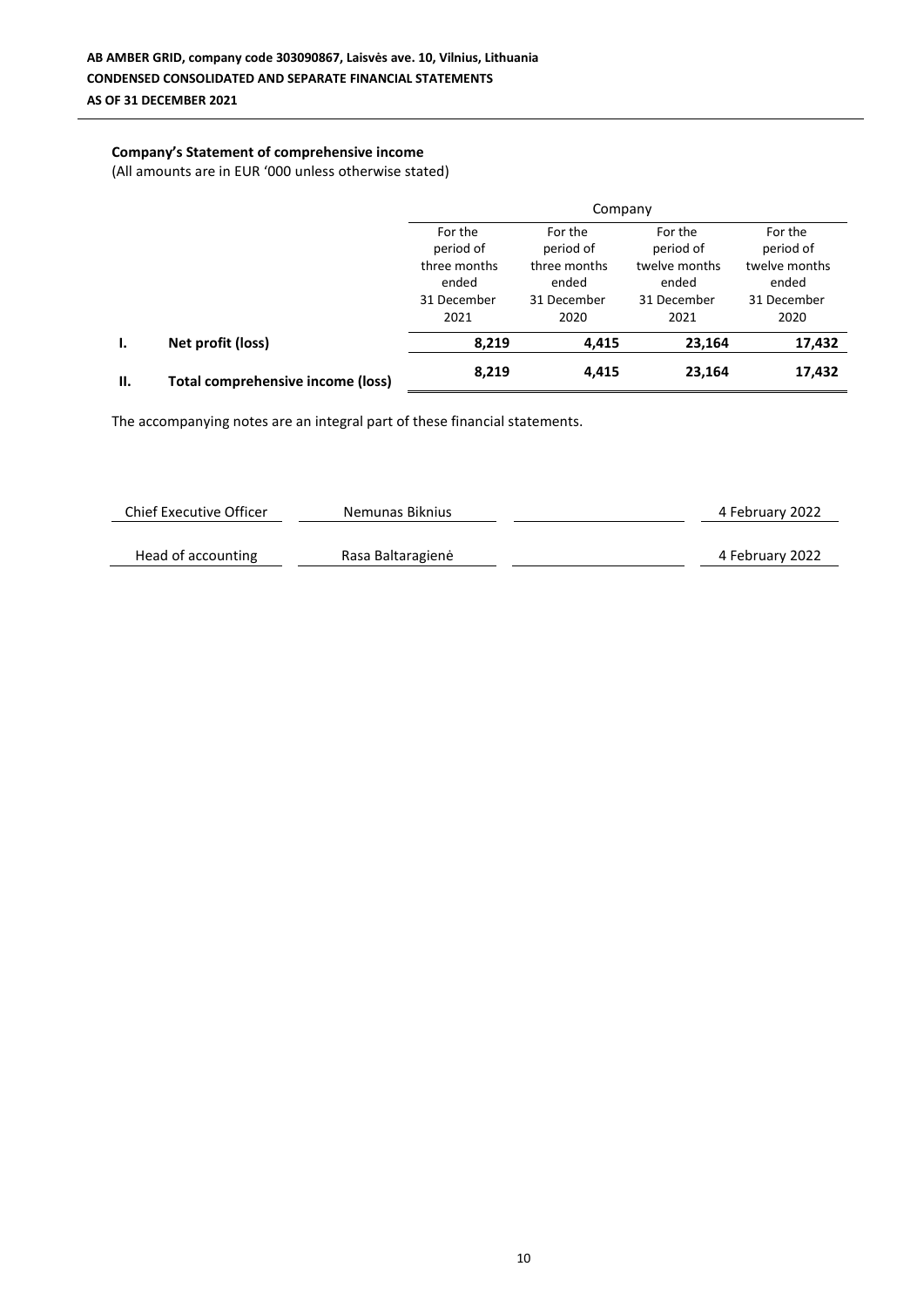### **Company's Statement of comprehensive income**

(All amounts are in EUR '000 unless otherwise stated)

|    |                                          | Company                                                              |                                                                      |                                                                       |                                                                       |  |
|----|------------------------------------------|----------------------------------------------------------------------|----------------------------------------------------------------------|-----------------------------------------------------------------------|-----------------------------------------------------------------------|--|
|    |                                          | For the<br>period of<br>three months<br>ended<br>31 December<br>2021 | For the<br>period of<br>three months<br>ended<br>31 December<br>2020 | For the<br>period of<br>twelve months<br>ended<br>31 December<br>2021 | For the<br>period of<br>twelve months<br>ended<br>31 December<br>2020 |  |
| Ι. | Net profit (loss)                        | 8,219                                                                | 4,415                                                                | 23,164                                                                | 17,432                                                                |  |
| Ш. | <b>Total comprehensive income (loss)</b> | 8,219                                                                | 4,415                                                                | 23,164                                                                | 17,432                                                                |  |

| Chief Executive Officer | Nemunas Biknius   | 4 February 2022 |
|-------------------------|-------------------|-----------------|
|                         |                   |                 |
| Head of accounting      | Rasa Baltaragienė | 4 February 2022 |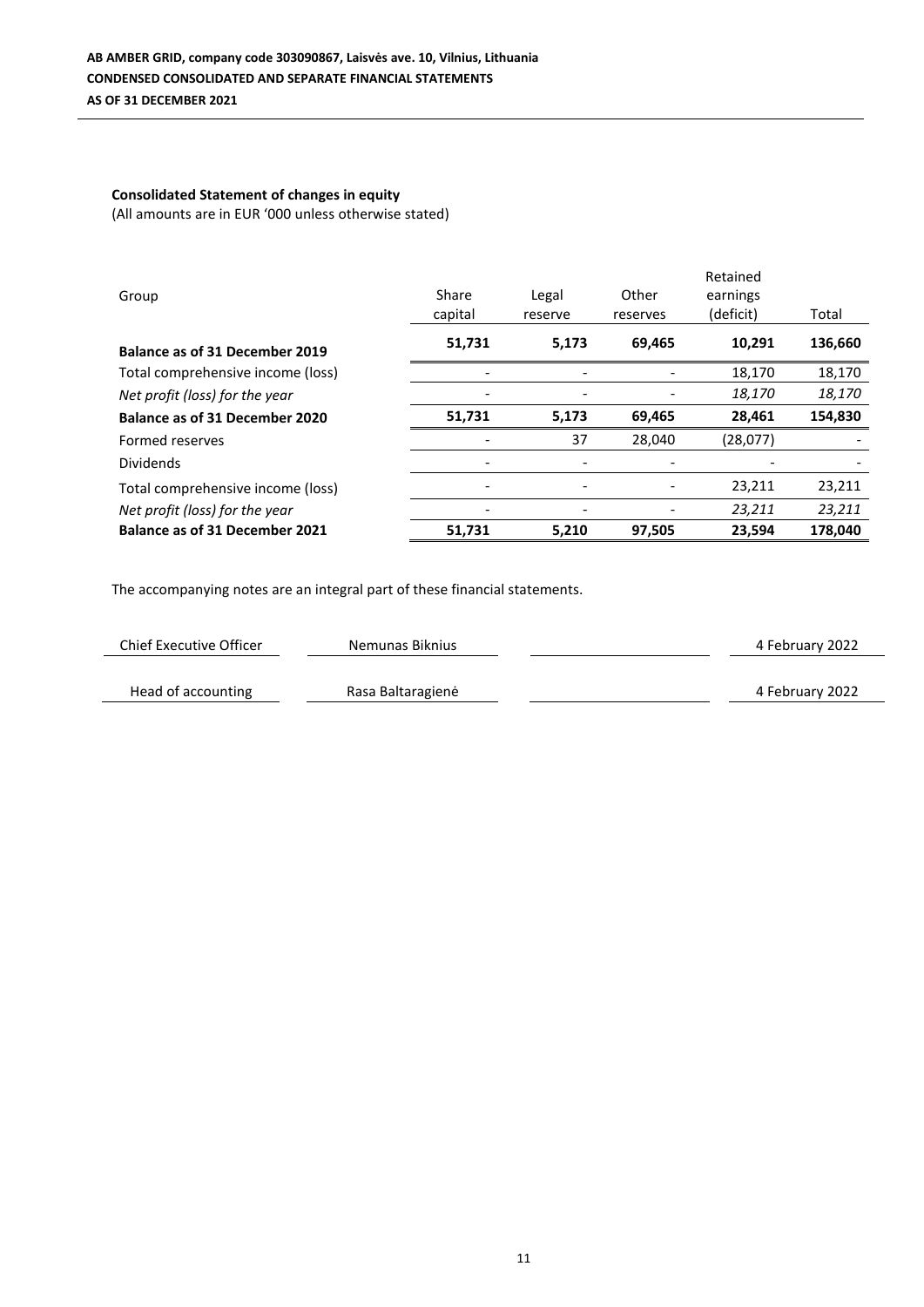# **Consolidated Statement of changes in equity**

(All amounts are in EUR '000 unless otherwise stated)

| Group                                 | Share<br>capital | Legal<br>reserve             | Other<br>reserves | Retained<br>earnings<br>(deficit) | Total   |
|---------------------------------------|------------------|------------------------------|-------------------|-----------------------------------|---------|
| Balance as of 31 December 2019        | 51,731           | 5,173                        | 69,465            | 10.291                            | 136,660 |
| Total comprehensive income (loss)     |                  |                              |                   | 18,170                            | 18,170  |
| Net profit (loss) for the year        |                  | $\overline{\phantom{a}}$     |                   | 18,170                            | 18,170  |
| Balance as of 31 December 2020        | 51,731           | 5,173                        | 69,465            | 28,461                            | 154,830 |
| Formed reserves                       |                  | 37                           | 28,040            | (28,077)                          |         |
| <b>Dividends</b>                      |                  | $\qquad \qquad \blacksquare$ |                   |                                   |         |
| Total comprehensive income (loss)     |                  | $\qquad \qquad \blacksquare$ |                   | 23,211                            | 23,211  |
| Net profit (loss) for the year        |                  | $\overline{\phantom{0}}$     |                   | 23,211                            | 23,211  |
| <b>Balance as of 31 December 2021</b> | 51,731           | 5,210                        | 97,505            | 23.594                            | 178.040 |

| Chief Executive Officer | Nemunas Biknius   | 4 February 2022 |
|-------------------------|-------------------|-----------------|
|                         |                   |                 |
| Head of accounting      | Rasa Baltaragienė | 4 February 2022 |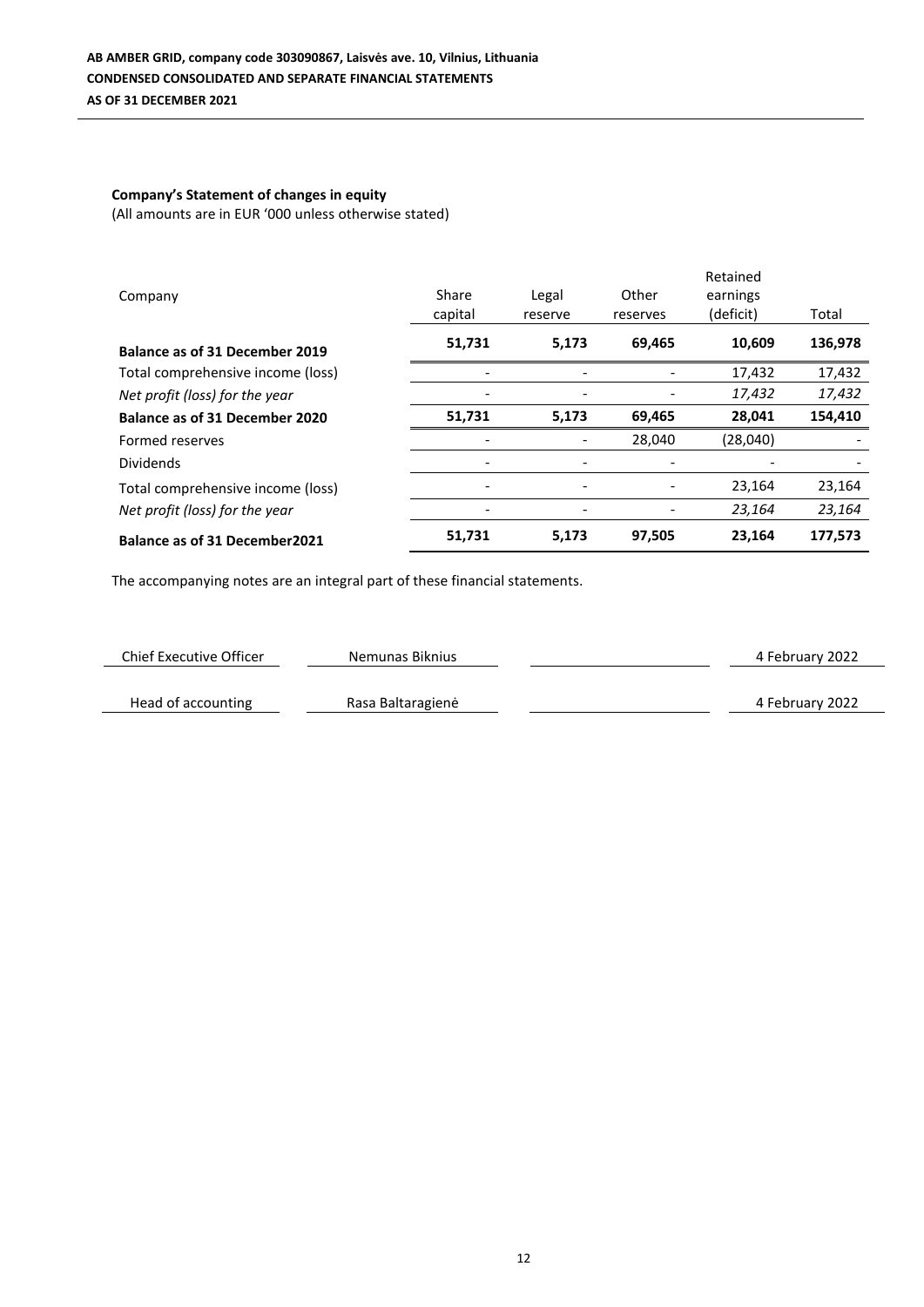## **Company's Statement of changes in equity**

(All amounts are in EUR '000 unless otherwise stated)

| Company                               | Share<br>capital | Legal<br>reserve             | Other<br>reserves | Retained<br>earnings<br>(deficit) | Total   |
|---------------------------------------|------------------|------------------------------|-------------------|-----------------------------------|---------|
| <b>Balance as of 31 December 2019</b> | 51,731           | 5,173                        | 69,465            | 10,609                            | 136,978 |
| Total comprehensive income (loss)     |                  | $\overline{\phantom{a}}$     |                   | 17,432                            | 17,432  |
| Net profit (loss) for the year        |                  |                              |                   | 17,432                            | 17,432  |
| Balance as of 31 December 2020        | 51,731           | 5,173                        | 69,465            | 28,041                            | 154,410 |
| Formed reserves                       |                  |                              | 28,040            | (28,040)                          |         |
| <b>Dividends</b>                      |                  |                              |                   |                                   |         |
| Total comprehensive income (loss)     |                  |                              |                   | 23,164                            | 23,164  |
| Net profit (loss) for the year        |                  | $\qquad \qquad \blacksquare$ |                   | 23,164                            | 23,164  |
| <b>Balance as of 31 December2021</b>  | 51,731           | 5,173                        | 97,505            | 23,164                            | 177,573 |

| Chief Executive Officer | Nemunas Biknius   |  | 4 February 2022 |
|-------------------------|-------------------|--|-----------------|
|                         |                   |  |                 |
| Head of accounting      | Rasa Baltaragienė |  | 4 February 2022 |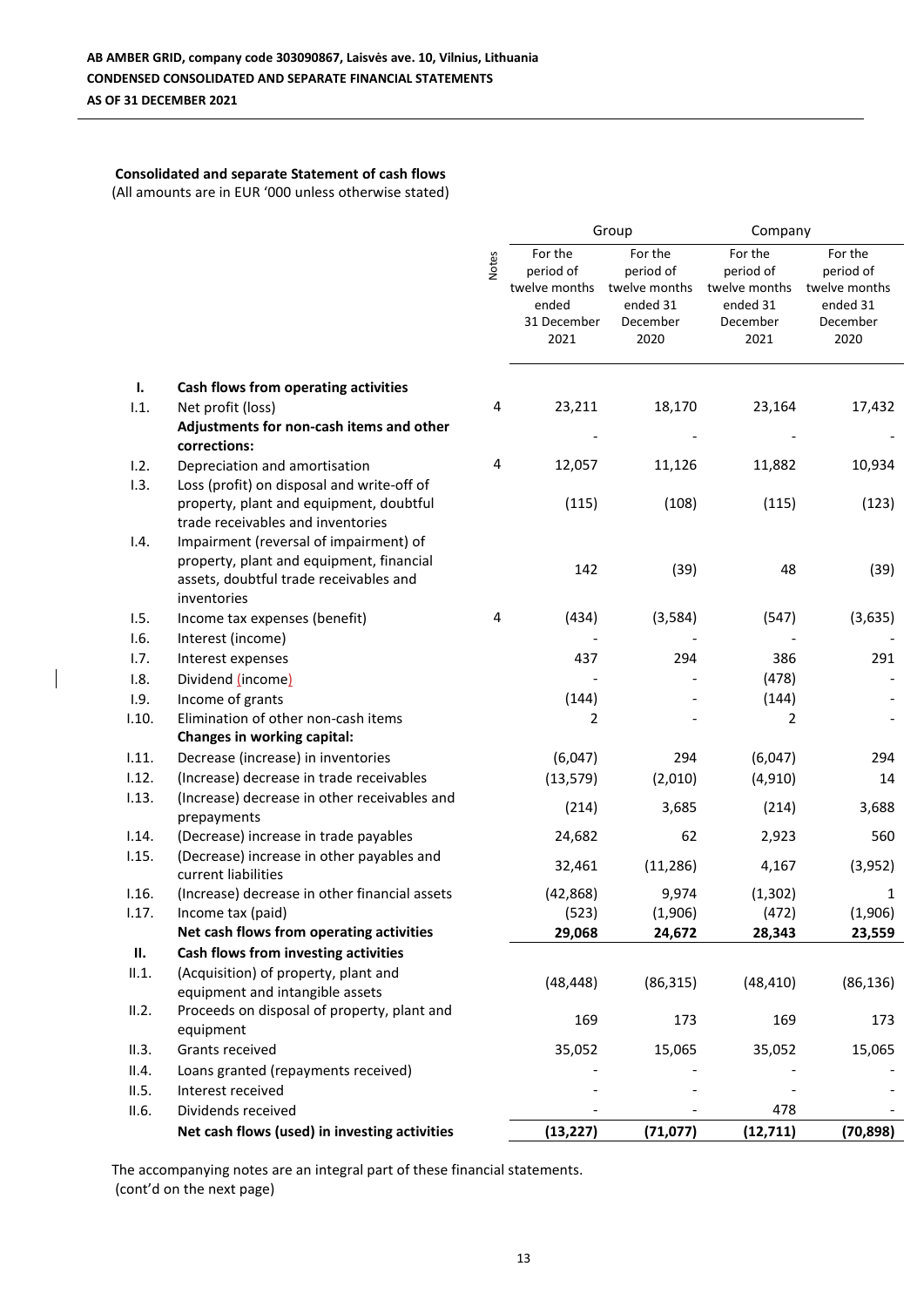### **Consolidated and separate Statement of cash flows**

(All amounts are in EUR '000 unless otherwise stated)

|       |                                                                                                                        |              | Group                                                                 |                                                                       | Company                                                               |                                                                       |
|-------|------------------------------------------------------------------------------------------------------------------------|--------------|-----------------------------------------------------------------------|-----------------------------------------------------------------------|-----------------------------------------------------------------------|-----------------------------------------------------------------------|
|       |                                                                                                                        | <b>Notes</b> | For the<br>period of<br>twelve months<br>ended<br>31 December<br>2021 | For the<br>period of<br>twelve months<br>ended 31<br>December<br>2020 | For the<br>period of<br>twelve months<br>ended 31<br>December<br>2021 | For the<br>period of<br>twelve months<br>ended 31<br>December<br>2020 |
| Ι.    | Cash flows from operating activities                                                                                   |              |                                                                       |                                                                       |                                                                       |                                                                       |
| 1.1.  | Net profit (loss)<br>Adjustments for non-cash items and other<br>corrections:                                          | 4            | 23,211                                                                | 18,170                                                                | 23,164                                                                | 17,432                                                                |
| 1.2.  | Depreciation and amortisation                                                                                          | 4            | 12,057                                                                | 11,126                                                                | 11,882                                                                | 10,934                                                                |
| 1.3.  | Loss (profit) on disposal and write-off of                                                                             |              |                                                                       |                                                                       |                                                                       |                                                                       |
| 1.4.  | property, plant and equipment, doubtful<br>trade receivables and inventories<br>Impairment (reversal of impairment) of |              | (115)                                                                 | (108)                                                                 | (115)                                                                 | (123)                                                                 |
|       | property, plant and equipment, financial<br>assets, doubtful trade receivables and<br>inventories                      |              | 142                                                                   | (39)                                                                  | 48                                                                    | (39)                                                                  |
| 1.5.  | Income tax expenses (benefit)                                                                                          | 4            | (434)                                                                 | (3,584)                                                               | (547)                                                                 | (3,635)                                                               |
| 1.6.  | Interest (income)                                                                                                      |              |                                                                       |                                                                       |                                                                       |                                                                       |
| 1.7.  | Interest expenses                                                                                                      |              | 437                                                                   | 294                                                                   | 386                                                                   | 291                                                                   |
| 1.8.  | Dividend (income)                                                                                                      |              |                                                                       |                                                                       | (478)                                                                 |                                                                       |
| 1.9.  | Income of grants                                                                                                       |              | (144)                                                                 |                                                                       | (144)                                                                 |                                                                       |
| 1.10. | Elimination of other non-cash items                                                                                    |              | 2                                                                     |                                                                       | 2                                                                     |                                                                       |
|       | Changes in working capital:                                                                                            |              |                                                                       |                                                                       |                                                                       |                                                                       |
| 1.11. | Decrease (increase) in inventories                                                                                     |              | (6,047)                                                               | 294                                                                   | (6,047)                                                               | 294                                                                   |
| 1.12. | (Increase) decrease in trade receivables                                                                               |              | (13, 579)                                                             | (2,010)                                                               | (4, 910)                                                              | 14                                                                    |
| 1.13. | (Increase) decrease in other receivables and<br>prepayments                                                            |              | (214)                                                                 | 3,685                                                                 | (214)                                                                 | 3,688                                                                 |
| 1.14. | (Decrease) increase in trade payables                                                                                  |              | 24,682                                                                | 62                                                                    | 2,923                                                                 | 560                                                                   |
| 1.15. | (Decrease) increase in other payables and<br>current liabilities                                                       |              | 32,461                                                                | (11, 286)                                                             | 4,167                                                                 | (3,952)                                                               |
| 1.16. | (Increase) decrease in other financial assets                                                                          |              | (42, 868)                                                             | 9,974                                                                 | (1, 302)                                                              | $\mathbf{1}$                                                          |
| 1.17. | Income tax (paid)                                                                                                      |              | (523)                                                                 | (1,906)                                                               | (472)                                                                 | (1,906)                                                               |
|       | Net cash flows from operating activities                                                                               |              | 29,068                                                                | 24,672                                                                | 28,343                                                                | 23,559                                                                |
| П.    | Cash flows from investing activities                                                                                   |              |                                                                       |                                                                       |                                                                       |                                                                       |
| II.1. | (Acquisition) of property, plant and<br>equipment and intangible assets                                                |              | (48, 448)                                                             | (86, 315)                                                             | (48, 410)                                                             | (86, 136)                                                             |
| II.2. | Proceeds on disposal of property, plant and<br>equipment                                                               |              | 169                                                                   | 173                                                                   | 169                                                                   | 173                                                                   |
| II.3. | Grants received                                                                                                        |              | 35,052                                                                | 15,065                                                                | 35,052                                                                | 15,065                                                                |
| II.4. | Loans granted (repayments received)                                                                                    |              |                                                                       |                                                                       |                                                                       |                                                                       |
| II.5. | Interest received                                                                                                      |              |                                                                       |                                                                       |                                                                       |                                                                       |
| II.6. | Dividends received                                                                                                     |              |                                                                       |                                                                       | 478                                                                   |                                                                       |
|       | Net cash flows (used) in investing activities                                                                          |              | (13, 227)                                                             | (71, 077)                                                             | (12, 711)                                                             | (70, 898)                                                             |

The accompanying notes are an integral part of these financial statements. (cont'd on the next page)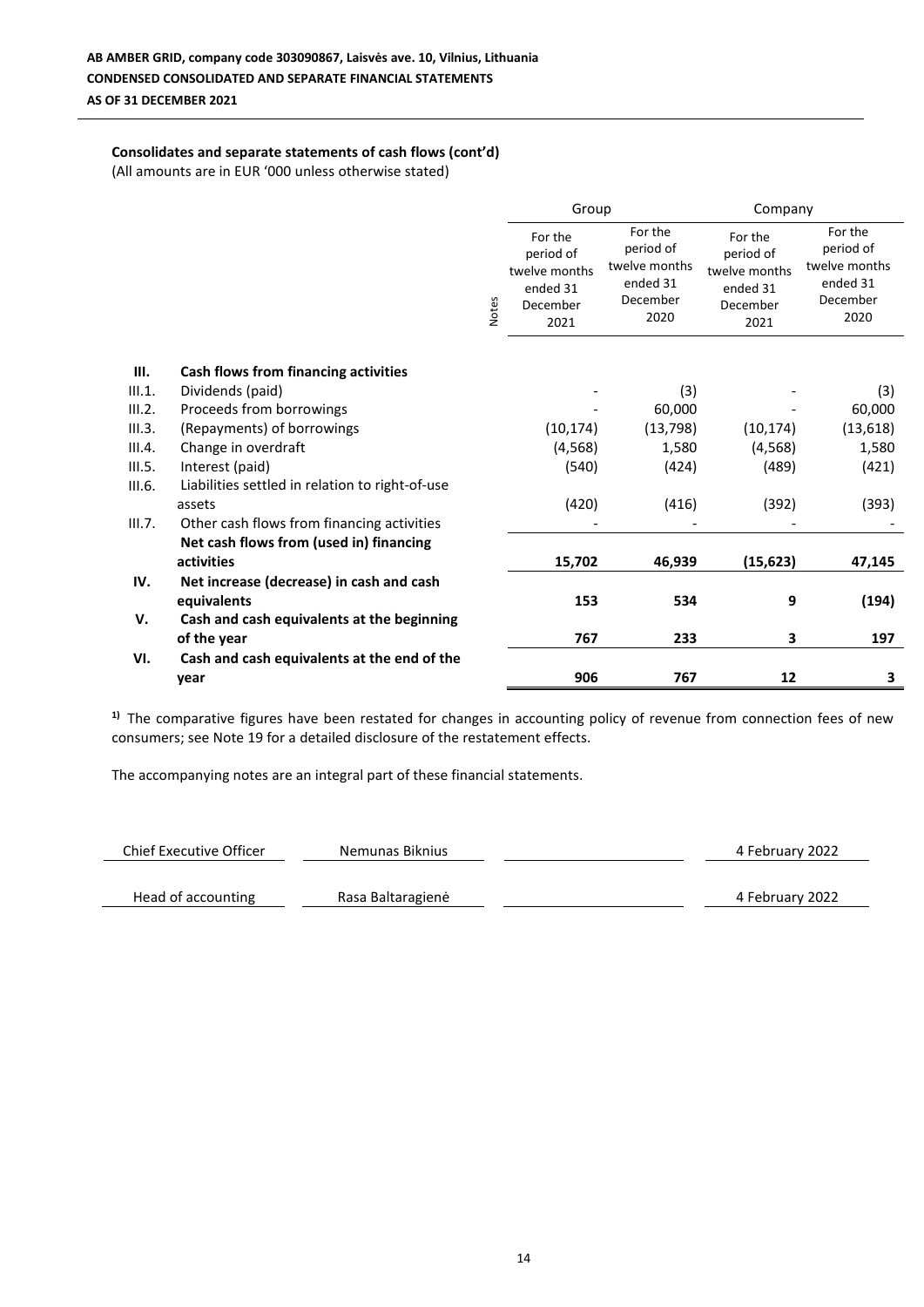### **Consolidates and separate statements of cash flows (cont'd)**

(All amounts are in EUR '000 unless otherwise stated)

|        |                                                 |       | Group                                                                 |                                                                       | Company                                                               |                                                                       |
|--------|-------------------------------------------------|-------|-----------------------------------------------------------------------|-----------------------------------------------------------------------|-----------------------------------------------------------------------|-----------------------------------------------------------------------|
|        |                                                 | Notes | For the<br>period of<br>twelve months<br>ended 31<br>December<br>2021 | For the<br>period of<br>twelve months<br>ended 31<br>December<br>2020 | For the<br>period of<br>twelve months<br>ended 31<br>December<br>2021 | For the<br>period of<br>twelve months<br>ended 31<br>December<br>2020 |
|        |                                                 |       |                                                                       |                                                                       |                                                                       |                                                                       |
| III.   | Cash flows from financing activities            |       |                                                                       |                                                                       |                                                                       |                                                                       |
| III.1. | Dividends (paid)                                |       |                                                                       | (3)                                                                   |                                                                       | (3)                                                                   |
| III.2. | Proceeds from borrowings                        |       |                                                                       | 60,000                                                                |                                                                       | 60,000                                                                |
| III.3. | (Repayments) of borrowings                      |       | (10, 174)                                                             | (13, 798)                                                             | (10, 174)                                                             | (13, 618)                                                             |
| III.4. | Change in overdraft                             |       | (4, 568)                                                              | 1,580                                                                 | (4, 568)                                                              | 1,580                                                                 |
| III.5. | Interest (paid)                                 |       | (540)                                                                 | (424)                                                                 | (489)                                                                 | (421)                                                                 |
| III.6. | Liabilities settled in relation to right-of-use |       |                                                                       |                                                                       |                                                                       |                                                                       |
|        | assets                                          |       | (420)                                                                 | (416)                                                                 | (392)                                                                 | (393)                                                                 |
| III.7. | Other cash flows from financing activities      |       |                                                                       |                                                                       |                                                                       |                                                                       |
|        | Net cash flows from (used in) financing         |       |                                                                       |                                                                       |                                                                       |                                                                       |
|        | activities                                      |       | 15,702                                                                | 46,939                                                                | (15, 623)                                                             | 47,145                                                                |
| IV.    | Net increase (decrease) in cash and cash        |       |                                                                       |                                                                       |                                                                       |                                                                       |
|        | equivalents                                     |       | 153                                                                   | 534                                                                   | 9                                                                     | (194)                                                                 |
| v.     | Cash and cash equivalents at the beginning      |       |                                                                       |                                                                       |                                                                       |                                                                       |
|        | of the year                                     |       | 767                                                                   | 233                                                                   | 3                                                                     | 197                                                                   |
| VI.    | Cash and cash equivalents at the end of the     |       |                                                                       |                                                                       |                                                                       |                                                                       |
|        | year                                            |       | 906                                                                   | 767                                                                   | 12                                                                    | 3                                                                     |

<sup>1)</sup> The comparative figures have been restated for changes in accounting policy of revenue from connection fees of new consumers; see Note 19 for a detailed disclosure of the restatement effects.

| Chief Executive Officer | Nemunas Biknius   | 4 February 2022 |
|-------------------------|-------------------|-----------------|
|                         |                   |                 |
| Head of accounting      | Rasa Baltaragienė | 4 February 2022 |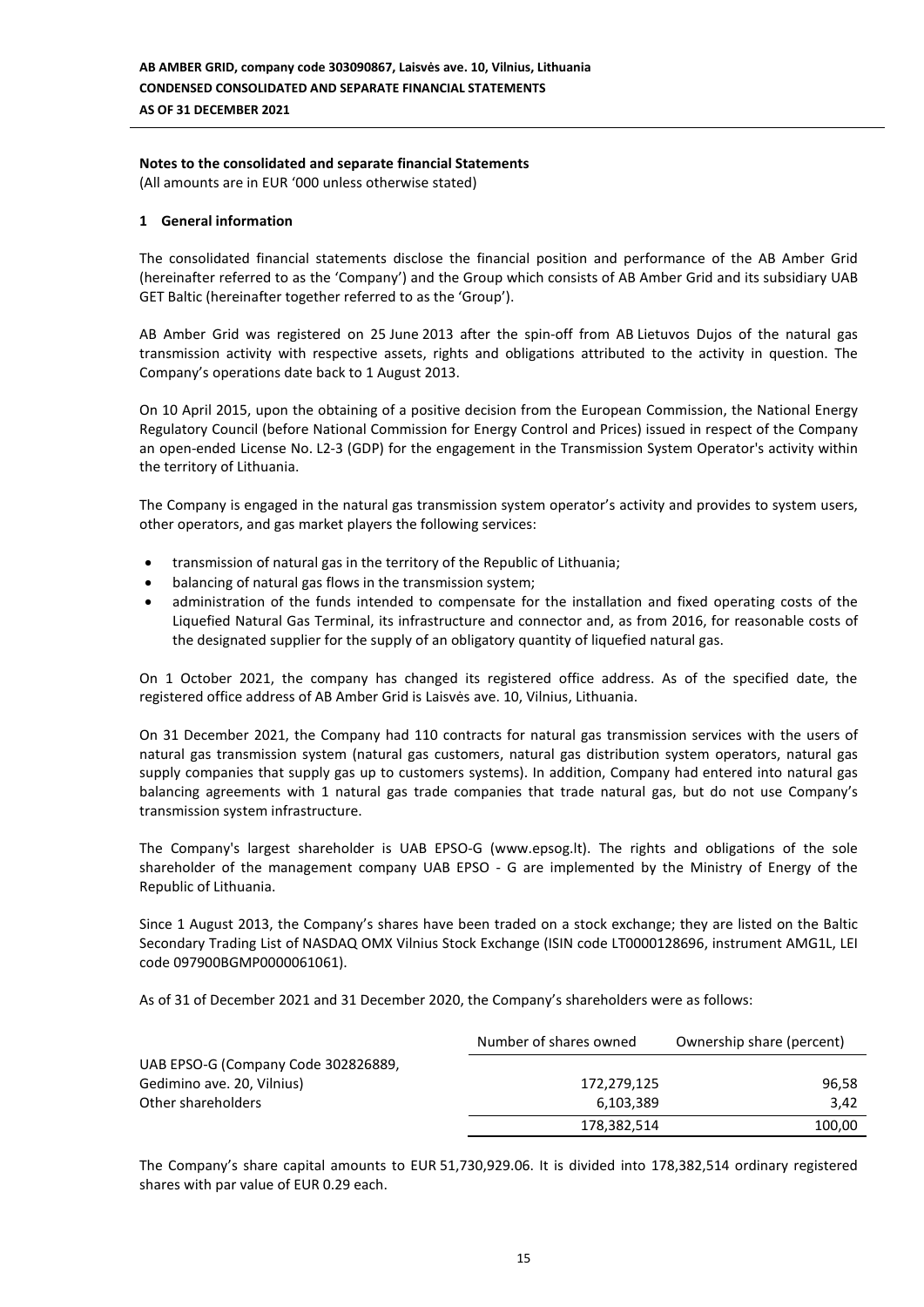### **Notes to the consolidated and separate financial Statements**

(All amounts are in EUR '000 unless otherwise stated)

### **1 General information**

The consolidated financial statements disclose the financial position and performance of the AB Amber Grid (hereinafter referred to as the 'Company') and the Group which consists of AB Amber Grid and its subsidiary UAB GET Baltic (hereinafter together referred to as the 'Group').

AB Amber Grid was registered on 25 June 2013 after the spin-off from AB Lietuvos Dujos of the natural gas transmission activity with respective assets, rights and obligations attributed to the activity in question. The Company's operations date back to 1 August 2013.

On 10 April 2015, upon the obtaining of a positive decision from the European Commission, the National Energy Regulatory Council (before National Commission for Energy Control and Prices) issued in respect of the Company an open-ended License No. L2-3 (GDP) for the engagement in the Transmission System Operator's activity within the territory of Lithuania.

The Company is engaged in the natural gas transmission system operator's activity and provides to system users, other operators, and gas market players the following services:

- transmission of natural gas in the territory of the Republic of Lithuania;
- balancing of natural gas flows in the transmission system;
- administration of the funds intended to compensate for the installation and fixed operating costs of the Liquefied Natural Gas Terminal, its infrastructure and connector and, as from 2016, for reasonable costs of the designated supplier for the supply of an obligatory quantity of liquefied natural gas.

On 1 October 2021, the company has changed its registered office address. As of the specified date, the registered office address of AB Amber Grid is Laisvės ave. 10, Vilnius, Lithuania.

On 31 December 2021, the Company had 110 contracts for natural gas transmission services with the users of natural gas transmission system (natural gas customers, natural gas distribution system operators, natural gas supply companies that supply gas up to customers systems). In addition, Company had entered into natural gas balancing agreements with 1 natural gas trade companies that trade natural gas, but do not use Company's transmission system infrastructure.

The Company's largest shareholder is UAB EPSO-G (www.epsog.lt). The rights and obligations of the sole shareholder of the management company UAB EPSO - G are implemented by the Ministry of Energy of the Republic of Lithuania.

Since 1 August 2013, the Company's shares have been traded on a stock exchange; they are listed on the Baltic Secondary Trading List of NASDAQ OMX Vilnius Stock Exchange (ISIN code LT0000128696, instrument AMG1L, LEI code 097900BGMP0000061061).

As of 31 of December 2021 and 31 December 2020, the Company's shareholders were as follows:

|                                     | Number of shares owned | Ownership share (percent) |
|-------------------------------------|------------------------|---------------------------|
| UAB EPSO-G (Company Code 302826889, |                        |                           |
| Gedimino ave. 20, Vilnius)          | 172,279,125            | 96,58                     |
| Other shareholders                  | 6,103,389              | 3.42                      |
|                                     | 178,382,514            | 100,00                    |

The Company's share capital amounts to EUR 51,730,929.06. It is divided into 178,382,514 ordinary registered shares with par value of EUR 0.29 each.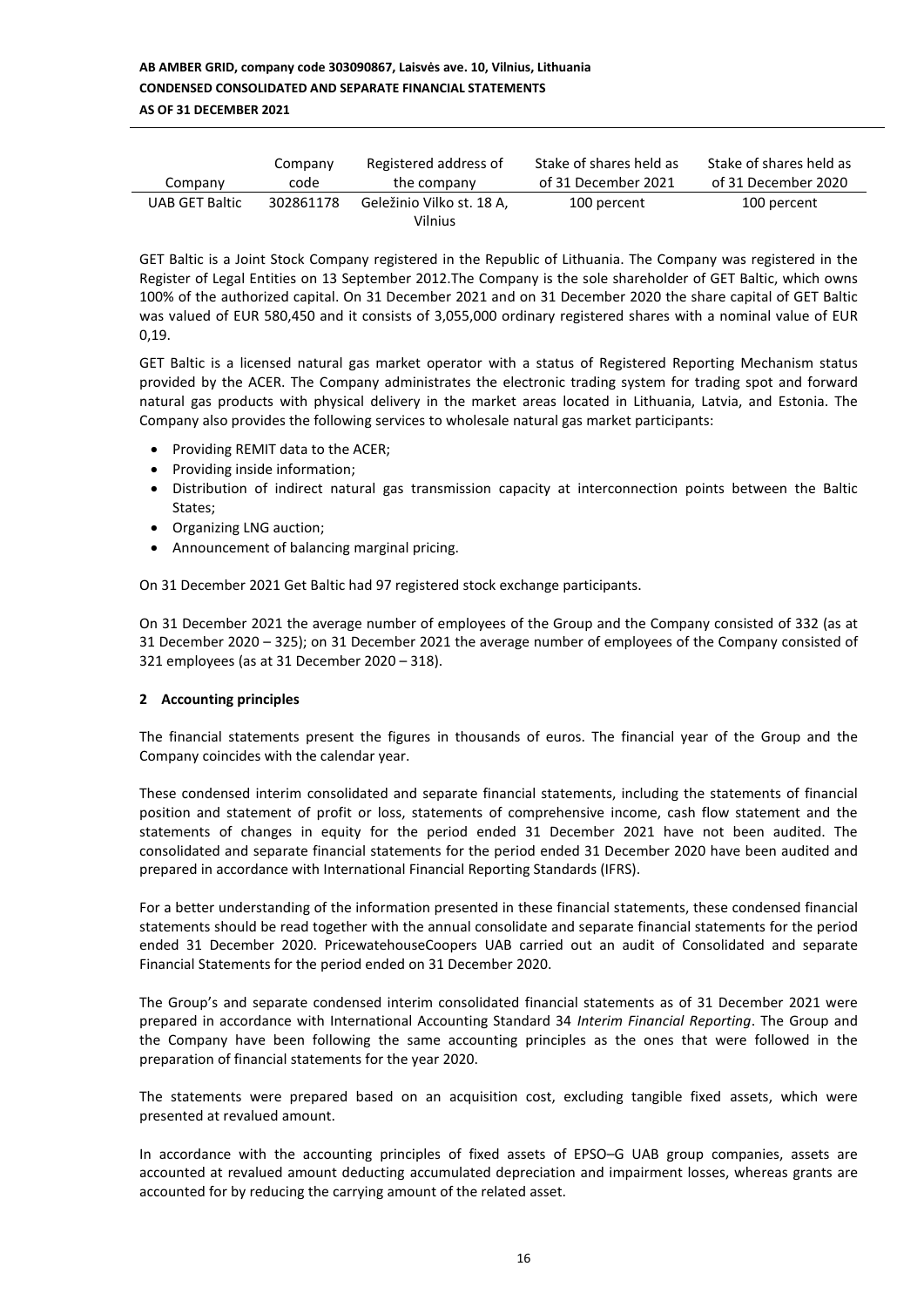| Company               | Company   | Registered address of                | Stake of shares held as | Stake of shares held as |
|-----------------------|-----------|--------------------------------------|-------------------------|-------------------------|
|                       | code      | the company                          | of 31 December 2021     | of 31 December 2020     |
| <b>UAB GET Baltic</b> | 302861178 | Geležinio Vilko st. 18 A,<br>Vilnius | 100 percent             | 100 percent             |

GET Baltic is a Joint Stock Company registered in the Republic of Lithuania. The Company was registered in the Register of Legal Entities on 13 September 2012.The Company is the sole shareholder of GET Baltic, which owns 100% of the authorized capital. On 31 December 2021 and on 31 December 2020 the share capital of GET Baltic was valued of EUR 580,450 and it consists of 3,055,000 ordinary registered shares with a nominal value of EUR 0,19.

GET Baltic is a licensed natural gas market operator with a status of Registered Reporting Mechanism status provided by the ACER. The Company administrates the electronic trading system for trading spot and forward natural gas products with physical delivery in the market areas located in Lithuania, Latvia, and Estonia. The Company also provides the following services to wholesale natural gas market participants:

- Providing REMIT data to the ACER;
- Providing inside information;
- Distribution of indirect natural gas transmission capacity at interconnection points between the Baltic States;
- Organizing LNG auction;
- Announcement of balancing marginal pricing.

On 31 December 2021 Get Baltic had 97 registered stock exchange participants.

On 31 December 2021 the average number of employees of the Group and the Company consisted of 332 (as at 31 December 2020 – 325); on 31 December 2021 the average number of employees of the Company consisted of 321 employees (as at 31 December 2020 – 318).

### **2 Accounting principles**

The financial statements present the figures in thousands of euros. The financial year of the Group and the Company coincides with the calendar year.

These condensed interim consolidated and separate financial statements, including the statements of financial position and statement of profit or loss, statements of comprehensive income, cash flow statement and the statements of changes in equity for the period ended 31 December 2021 have not been audited. The consolidated and separate financial statements for the period ended 31 December 2020 have been audited and prepared in accordance with International Financial Reporting Standards (IFRS).

For a better understanding of the information presented in these financial statements, these condensed financial statements should be read together with the annual consolidate and separate financial statements for the period ended 31 December 2020. PricewatehouseCoopers UAB carried out an audit of Consolidated and separate Financial Statements for the period ended on 31 December 2020.

The Group's and separate condensed interim consolidated financial statements as of 31 December 2021 were prepared in accordance with International Accounting Standard 34 *Interim Financial Reporting*. The Group and the Company have been following the same accounting principles as the ones that were followed in the preparation of financial statements for the year 2020.

The statements were prepared based on an acquisition cost, excluding tangible fixed assets, which were presented at revalued amount.

In accordance with the accounting principles of fixed assets of EPSO–G UAB group companies, assets are accounted at revalued amount deducting accumulated depreciation and impairment losses, whereas grants are accounted for by reducing the carrying amount of the related asset.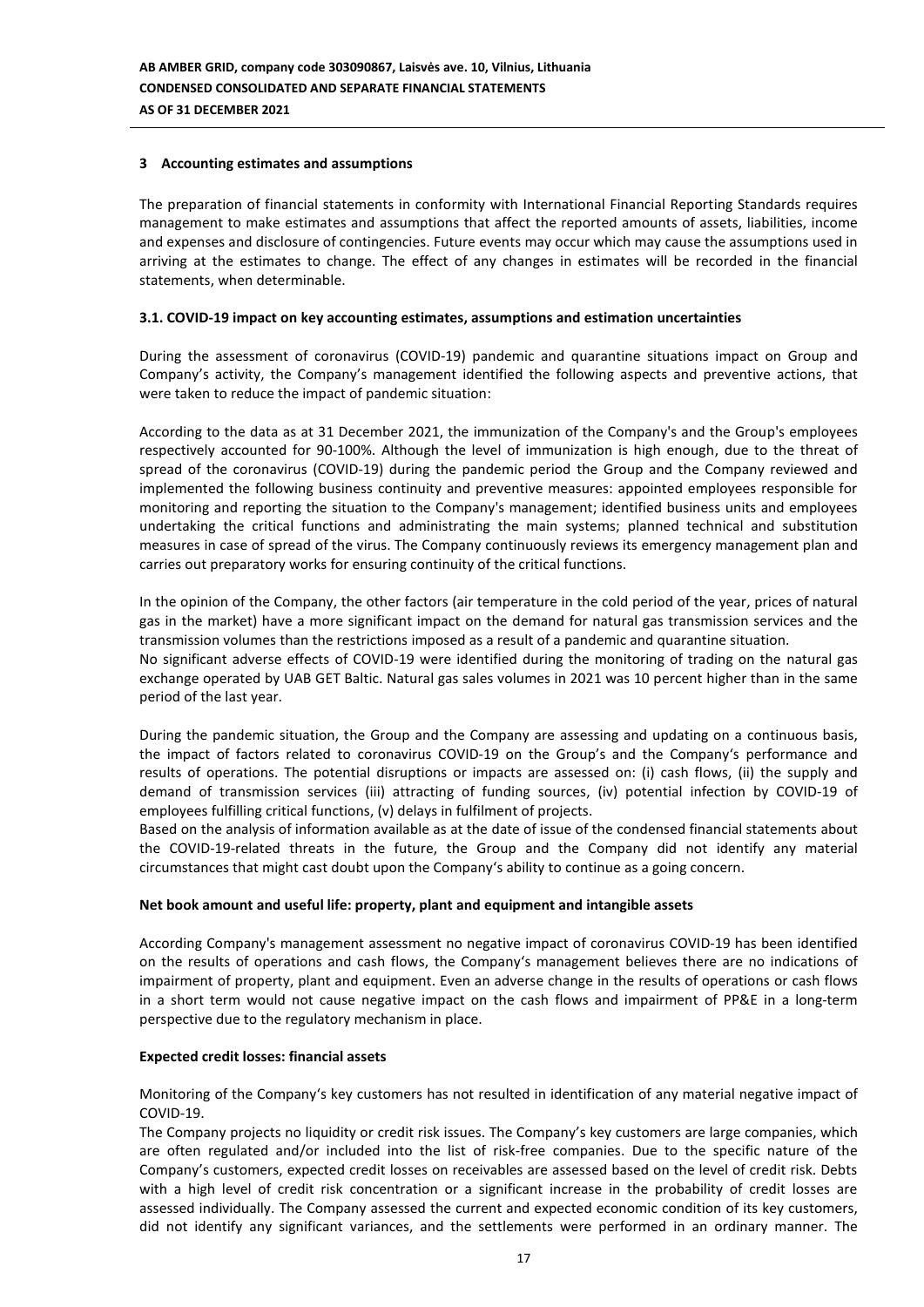### **3 Accounting estimates and assumptions**

The preparation of financial statements in conformity with International Financial Reporting Standards requires management to make estimates and assumptions that affect the reported amounts of assets, liabilities, income and expenses and disclosure of contingencies. Future events may occur which may cause the assumptions used in arriving at the estimates to change. The effect of any changes in estimates will be recorded in the financial statements, when determinable.

### **3.1. COVID-19 impact on key accounting estimates, assumptions and estimation uncertainties**

During the assessment of coronavirus (COVID-19) pandemic and quarantine situations impact on Group and Company's activity, the Company's management identified the following aspects and preventive actions, that were taken to reduce the impact of pandemic situation:

According to the data as at 31 December 2021, the immunization of the Company's and the Group's employees respectively accounted for 90-100%. Although the level of immunization is high enough, due to the threat of spread of the coronavirus (COVID-19) during the pandemic period the Group and the Company reviewed and implemented the following business continuity and preventive measures: appointed employees responsible for monitoring and reporting the situation to the Company's management; identified business units and employees undertaking the critical functions and administrating the main systems; planned technical and substitution measures in case of spread of the virus. The Company continuously reviews its emergency management plan and carries out preparatory works for ensuring continuity of the critical functions.

In the opinion of the Company, the other factors (air temperature in the cold period of the year, prices of natural gas in the market) have a more significant impact on the demand for natural gas transmission services and the transmission volumes than the restrictions imposed as a result of a pandemic and quarantine situation. No significant adverse effects of COVID-19 were identified during the monitoring of trading on the natural gas exchange operated by UAB GET Baltic. Natural gas sales volumes in 2021 was 10 percent higher than in the same period of the last year.

During the pandemic situation, the Group and the Company are assessing and updating on a continuous basis, the impact of factors related to coronavirus COVID-19 on the Group's and the Company's performance and results of operations. The potential disruptions or impacts are assessed on: (i) cash flows, (ii) the supply and demand of transmission services (iii) attracting of funding sources, (iv) potential infection by COVID-19 of employees fulfilling critical functions, (v) delays in fulfilment of projects.

Based on the analysis of information available as at the date of issue of the condensed financial statements about the COVID-19-related threats in the future, the Group and the Company did not identify any material circumstances that might cast doubt upon the Company's ability to continue as a going concern.

#### **Net book amount and useful life: property, plant and equipment and intangible assets**

According Company's management assessment no negative impact of coronavirus COVID-19 has been identified on the results of operations and cash flows, the Company's management believes there are no indications of impairment of property, plant and equipment. Even an adverse change in the results of operations or cash flows in a short term would not cause negative impact on the cash flows and impairment of PP&E in a long-term perspective due to the regulatory mechanism in place.

#### **Expected credit losses: financial assets**

Monitoring of the Company's key customers has not resulted in identification of any material negative impact of COVID-19.

The Company projects no liquidity or credit risk issues. The Company's key customers are large companies, which are often regulated and/or included into the list of risk-free companies. Due to the specific nature of the Company's customers, expected credit losses on receivables are assessed based on the level of credit risk. Debts with a high level of credit risk concentration or a significant increase in the probability of credit losses are assessed individually. The Company assessed the current and expected economic condition of its key customers, did not identify any significant variances, and the settlements were performed in an ordinary manner. The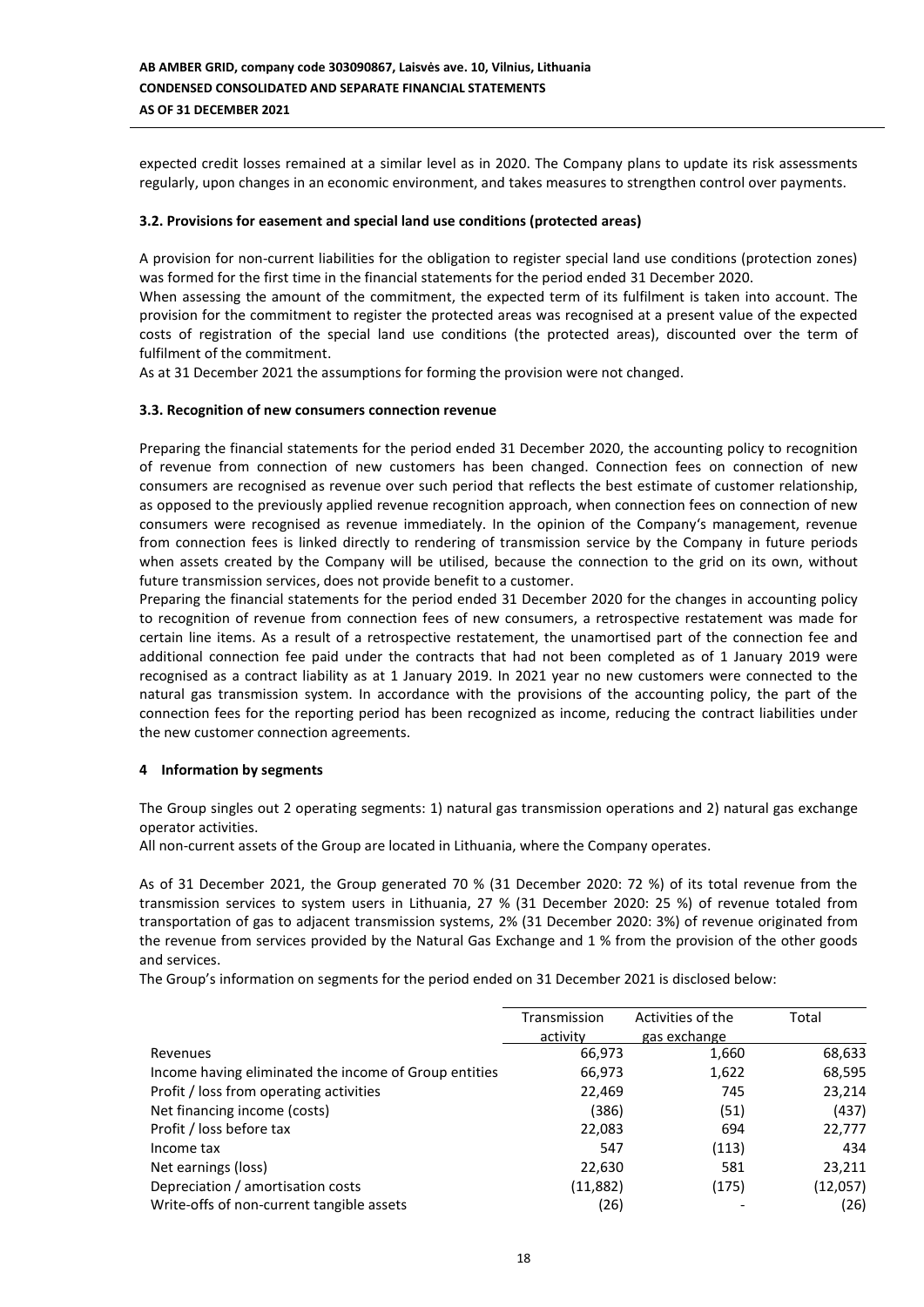expected credit losses remained at a similar level as in 2020. The Company plans to update its risk assessments regularly, upon changes in an economic environment, and takes measures to strengthen control over payments.

### **3.2. Provisions for easement and special land use conditions (protected areas)**

A provision for non-current liabilities for the obligation to register special land use conditions (protection zones) was formed for the first time in the financial statements for the period ended 31 December 2020.

When assessing the amount of the commitment, the expected term of its fulfilment is taken into account. The provision for the commitment to register the protected areas was recognised at a present value of the expected costs of registration of the special land use conditions (the protected areas), discounted over the term of fulfilment of the commitment.

As at 31 December 2021 the assumptions for forming the provision were not changed.

### **3.3. Recognition of new consumers connection revenue**

Preparing the financial statements for the period ended 31 December 2020, the accounting policy to recognition of revenue from connection of new customers has been changed. Connection fees on connection of new consumers are recognised as revenue over such period that reflects the best estimate of customer relationship, as opposed to the previously applied revenue recognition approach, when connection fees on connection of new consumers were recognised as revenue immediately. In the opinion of the Company's management, revenue from connection fees is linked directly to rendering of transmission service by the Company in future periods when assets created by the Company will be utilised, because the connection to the grid on its own, without future transmission services, does not provide benefit to a customer.

Preparing the financial statements for the period ended 31 December 2020 for the changes in accounting policy to recognition of revenue from connection fees of new consumers, a retrospective restatement was made for certain line items. As a result of a retrospective restatement, the unamortised part of the connection fee and additional connection fee paid under the contracts that had not been completed as of 1 January 2019 were recognised as a contract liability as at 1 January 2019. In 2021 year no new customers were connected to the natural gas transmission system. In accordance with the provisions of the accounting policy, the part of the connection fees for the reporting period has been recognized as income, reducing the contract liabilities under the new customer connection agreements.

### **4 Information by segments**

The Group singles out 2 operating segments: 1) natural gas transmission operations and 2) natural gas exchange operator activities.

All non-current assets of the Group are located in Lithuania, where the Company operates.

As of 31 December 2021, the Group generated 70 % (31 December 2020: 72 %) of its total revenue from the transmission services to system users in Lithuania, 27 % (31 December 2020: 25 %) of revenue totaled from transportation of gas to adjacent transmission systems, 2% (31 December 2020: 3%) of revenue originated from the revenue from services provided by the Natural Gas Exchange and 1 % from the provision of the other goods and services.

The Group's information on segments for the period ended on 31 December 2021 is disclosed below:

|                                                       | Transmission | Activities of the | Total    |
|-------------------------------------------------------|--------------|-------------------|----------|
|                                                       | activity     | gas exchange      |          |
| Revenues                                              | 66,973       | 1,660             | 68,633   |
| Income having eliminated the income of Group entities | 66,973       | 1,622             | 68,595   |
| Profit / loss from operating activities               | 22,469       | 745               | 23,214   |
| Net financing income (costs)                          | (386)        | (51)              | (437)    |
| Profit / loss before tax                              | 22,083       | 694               | 22,777   |
| Income tax                                            | 547          | (113)             | 434      |
| Net earnings (loss)                                   | 22,630       | 581               | 23,211   |
| Depreciation / amortisation costs                     | (11,882)     | (175)             | (12,057) |
| Write-offs of non-current tangible assets             | (26)         |                   | (26)     |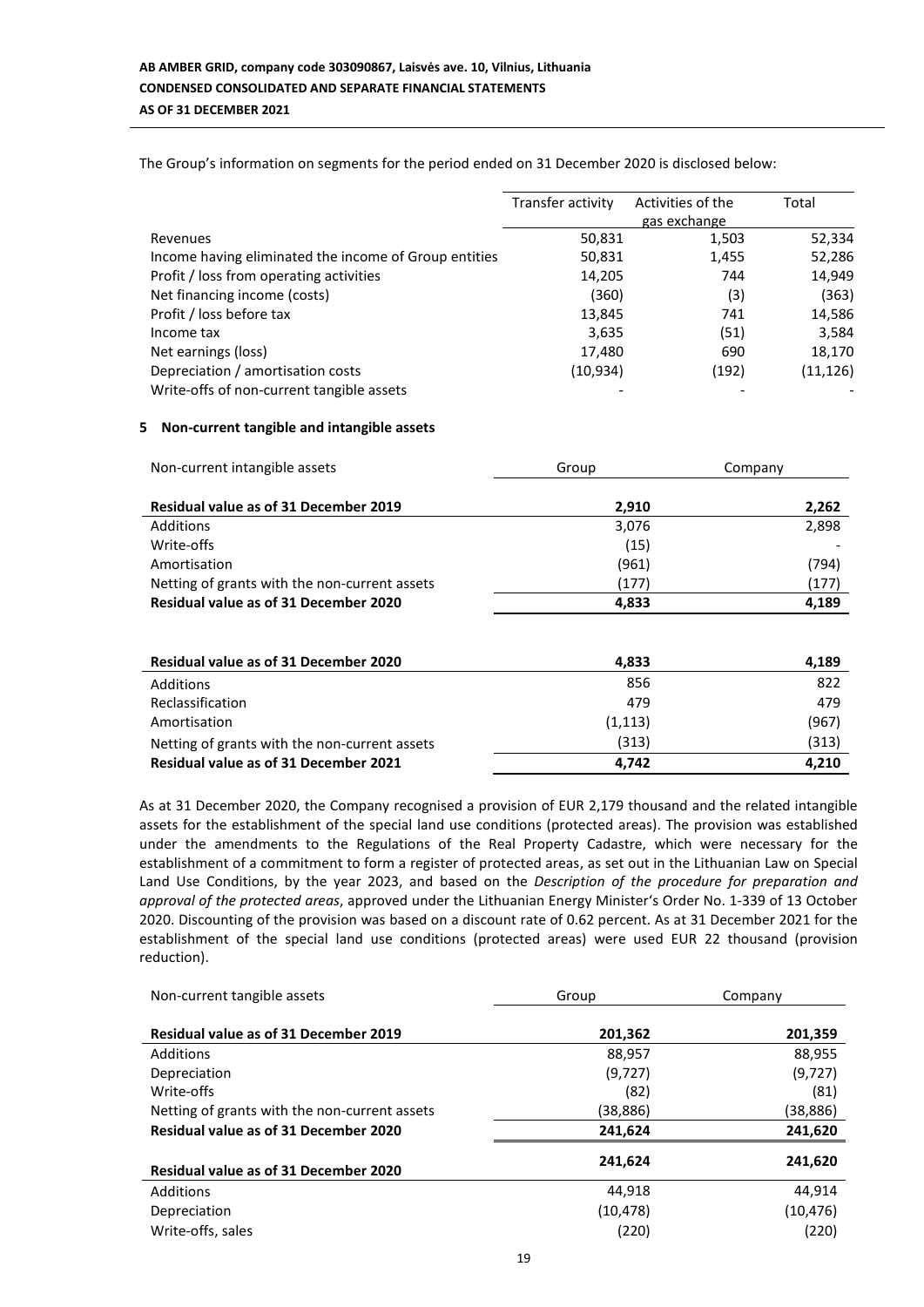The Group's information on segments for the period ended on 31 December 2020 is disclosed below:

|                                                       | Transfer activity | Activities of the | Total     |
|-------------------------------------------------------|-------------------|-------------------|-----------|
|                                                       |                   | gas exchange      |           |
| Revenues                                              | 50,831            | 1,503             | 52,334    |
| Income having eliminated the income of Group entities | 50,831            | 1,455             | 52,286    |
| Profit / loss from operating activities               | 14,205            | 744               | 14,949    |
| Net financing income (costs)                          | (360)             | (3)               | (363)     |
| Profit / loss before tax                              | 13,845            | 741               | 14,586    |
| Income tax                                            | 3,635             | (51)              | 3,584     |
| Net earnings (loss)                                   | 17,480            | 690               | 18,170    |
| Depreciation / amortisation costs                     | (10,934)          | (192)             | (11, 126) |
| Write-offs of non-current tangible assets             |                   |                   |           |

#### **5 Non-current tangible and intangible assets**

| Non-current intangible assets                 | Group | Company |  |
|-----------------------------------------------|-------|---------|--|
| <b>Residual value as of 31 December 2019</b>  | 2.910 | 2,262   |  |
| <b>Additions</b>                              | 3,076 | 2,898   |  |
| Write-offs                                    | (15)  |         |  |
| Amortisation                                  | (961) | (794)   |  |
| Netting of grants with the non-current assets | (177) | (177)   |  |
| <b>Residual value as of 31 December 2020</b>  | 4.833 | 4.189   |  |

| <b>Residual value as of 31 December 2020</b>  | 4,833    | 4,189 |
|-----------------------------------------------|----------|-------|
| Additions                                     | 856      | 822   |
| Reclassification                              | 479      | 479   |
| Amortisation                                  | (1, 113) | (967) |
| Netting of grants with the non-current assets | (313)    | (313) |
| <b>Residual value as of 31 December 2021</b>  | 4.742    | 4,210 |

As at 31 December 2020, the Company recognised a provision of EUR 2,179 thousand and the related intangible assets for the establishment of the special land use conditions (protected areas). The provision was established under the amendments to the Regulations of the Real Property Cadastre, which were necessary for the establishment of a commitment to form a register of protected areas, as set out in the Lithuanian Law on Special Land Use Conditions, by the year 2023, and based on the *Description of the procedure for preparation and approval of the protected areas*, approved under the Lithuanian Energy Minister's Order No. 1-339 of 13 October 2020. Discounting of the provision was based on a discount rate of 0.62 percent. As at 31 December 2021 for the establishment of the special land use conditions (protected areas) were used EUR 22 thousand (provision reduction).

| Non-current tangible assets                   | Group    | Company   |
|-----------------------------------------------|----------|-----------|
| <b>Residual value as of 31 December 2019</b>  |          |           |
|                                               | 201,362  | 201,359   |
| Additions                                     | 88,957   | 88,955    |
| Depreciation                                  | (9, 727) | (9,727)   |
| Write-offs                                    | (82)     | (81)      |
| Netting of grants with the non-current assets | (38,886) | (38,886)  |
| <b>Residual value as of 31 December 2020</b>  | 241,624  | 241,620   |
| <b>Residual value as of 31 December 2020</b>  | 241.624  | 241,620   |
| Additions                                     | 44,918   | 44,914    |
| Depreciation                                  | (10,478) | (10, 476) |
| Write-offs, sales                             | (220)    | (220)     |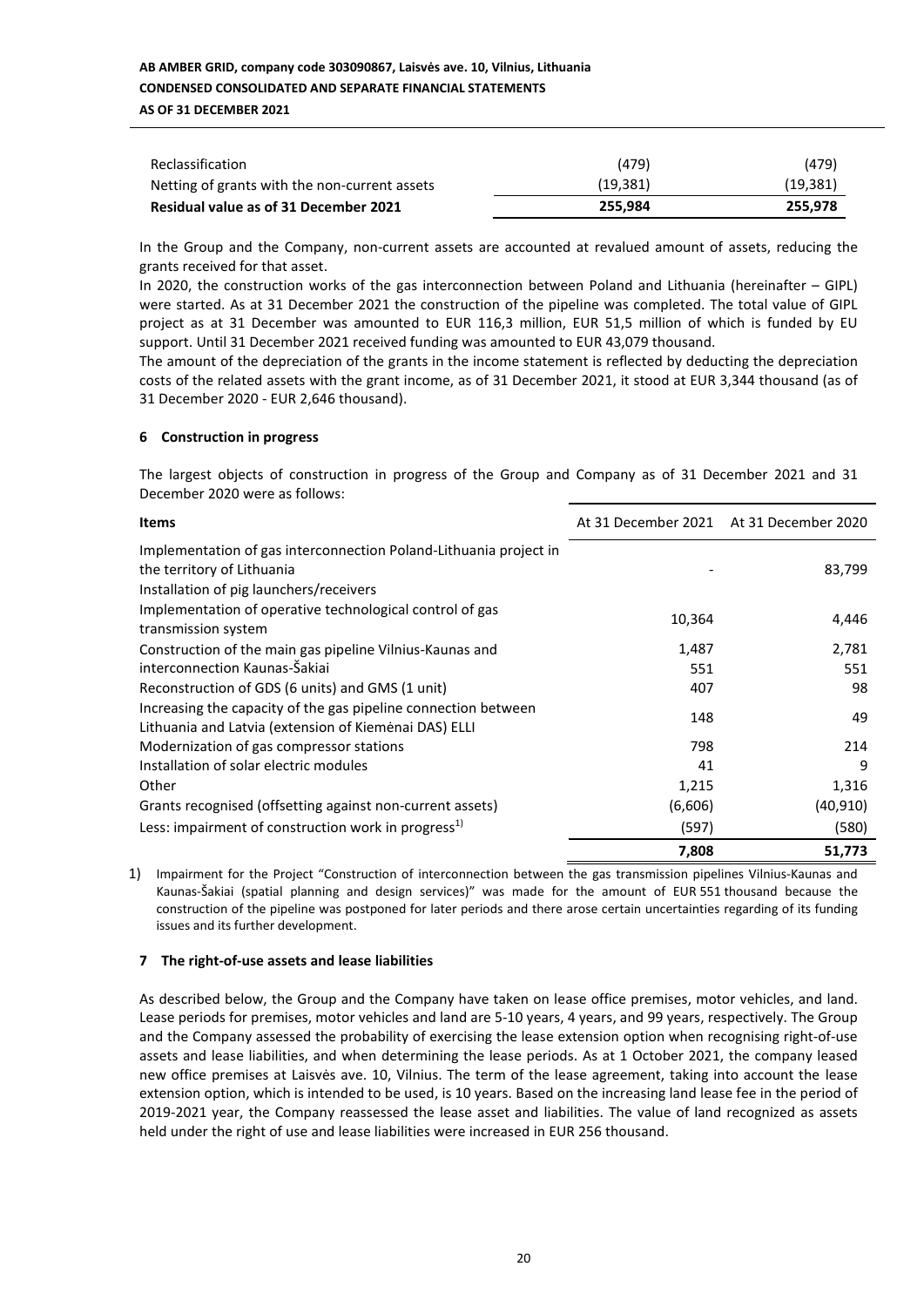| Reclassification                              | (479)     | (479)     |
|-----------------------------------------------|-----------|-----------|
| Netting of grants with the non-current assets | (19, 381) | (19, 381) |
| Residual value as of 31 December 2021         | 255.984   | 255.978   |

In the Group and the Company, non-current assets are accounted at revalued amount of assets, reducing the grants received for that asset.

In 2020, the construction works of the gas interconnection between Poland and Lithuania (hereinafter – GIPL) were started. As at 31 December 2021 the construction of the pipeline was completed. The total value of GIPL project as at 31 December was amounted to EUR 116,3 million, EUR 51,5 million of which is funded by EU support. Until 31 December 2021 received funding was amounted to EUR 43,079 thousand.

The amount of the depreciation of the grants in the income statement is reflected by deducting the depreciation costs of the related assets with the grant income, as of 31 December 2021, it stood at EUR 3,344 thousand (as of 31 December 2020 - EUR 2,646 thousand).

### **6 Construction in progress**

The largest objects of construction in progress of the Group and Company as of 31 December 2021 and 31 December 2020 were as follows:

| Items                                                                                                                      |         | At 31 December 2021 At 31 December 2020 |
|----------------------------------------------------------------------------------------------------------------------------|---------|-----------------------------------------|
| Implementation of gas interconnection Poland-Lithuania project in<br>the territory of Lithuania                            |         | 83,799                                  |
| Installation of pig launchers/receivers<br>Implementation of operative technological control of gas<br>transmission system | 10,364  | 4,446                                   |
| Construction of the main gas pipeline Vilnius-Kaunas and                                                                   | 1,487   | 2,781                                   |
| interconnection Kaunas-Šakiai                                                                                              | 551     | 551                                     |
| Reconstruction of GDS (6 units) and GMS (1 unit)                                                                           | 407     | 98                                      |
| Increasing the capacity of the gas pipeline connection between<br>Lithuania and Latvia (extension of Kiemėnai DAS) ELLI    | 148     | 49                                      |
| Modernization of gas compressor stations                                                                                   | 798     | 214                                     |
| Installation of solar electric modules                                                                                     | 41      | 9                                       |
| Other                                                                                                                      | 1,215   | 1,316                                   |
| Grants recognised (offsetting against non-current assets)                                                                  | (6,606) | (40, 910)                               |
| Less: impairment of construction work in progress <sup>1)</sup>                                                            | (597)   | (580)                                   |
|                                                                                                                            | 7,808   | 51,773                                  |

1) Impairment for the Project "Construction of interconnection between the gas transmission pipelines Vilnius-Kaunas and Kaunas-Šakiai (spatial planning and design services)" was made for the amount of EUR 551 thousand because the construction of the pipeline was postponed for later periods and there arose certain uncertainties regarding of its funding issues and its further development.

### **7 The right-of-use assets and lease liabilities**

As described below, the Group and the Company have taken on lease office premises, motor vehicles, and land. Lease periods for premises, motor vehicles and land are 5-10 years, 4 years, and 99 years, respectively. The Group and the Company assessed the probability of exercising the lease extension option when recognising right-of-use assets and lease liabilities, and when determining the lease periods. As at 1 October 2021, the company leased new office premises at Laisvės ave. 10, Vilnius. The term of the lease agreement, taking into account the lease extension option, which is intended to be used, is 10 years. Based on the increasing land lease fee in the period of 2019-2021 year, the Company reassessed the lease asset and liabilities. The value of land recognized as assets held under the right of use and lease liabilities were increased in EUR 256 thousand.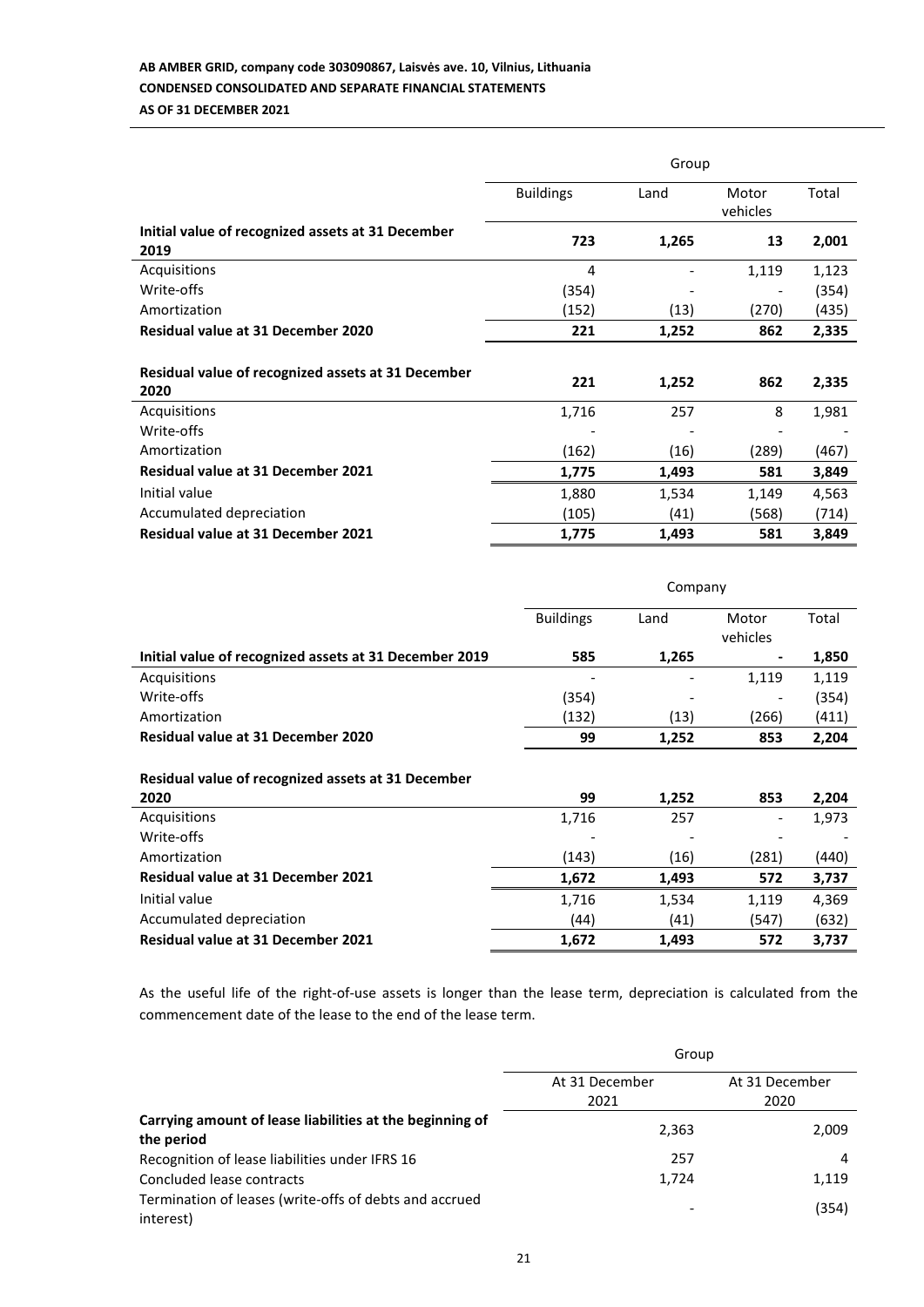### **AB AMBER GRID, company code 303090867, Laisvės ave. 10, Vilnius, Lithuania CONDENSED CONSOLIDATED AND SEPARATE FINANCIAL STATEMENTS AS OF 31 DECEMBER 2021**

|                                                           | Group            |       |                   |       |
|-----------------------------------------------------------|------------------|-------|-------------------|-------|
|                                                           | <b>Buildings</b> | Land  | Motor<br>vehicles | Total |
| Initial value of recognized assets at 31 December<br>2019 | 723              | 1,265 | 13                | 2,001 |
| Acquisitions                                              | 4                |       | 1,119             | 1,123 |
| Write-offs                                                | (354)            |       |                   | (354) |
| Amortization                                              | (152)            | (13)  | (270)             | (435) |
| Residual value at 31 December 2020                        | 221              | 1,252 | 862               | 2,335 |
| Residual value of recognized assets at 31 December        | 221              | 1,252 | 862               | 2,335 |
| 2020                                                      |                  | 257   | 8                 |       |
| Acquisitions<br>Write-offs                                | 1,716            |       |                   | 1,981 |
| Amortization                                              | (162)            | (16)  | (289)             | (467) |
| <b>Residual value at 31 December 2021</b>                 | 1,775            | 1,493 | 581               | 3,849 |
| Initial value                                             | 1,880            | 1,534 | 1,149             | 4,563 |
| Accumulated depreciation                                  | (105)            | (41)  | (568)             | (714) |
| <b>Residual value at 31 December 2021</b>                 | 1,775            | 1,493 | 581               | 3,849 |

|                                                            | Company          |       |                   |       |
|------------------------------------------------------------|------------------|-------|-------------------|-------|
|                                                            | <b>Buildings</b> | Land  | Motor<br>vehicles | Total |
| Initial value of recognized assets at 31 December 2019     | 585              | 1,265 |                   | 1,850 |
| Acquisitions                                               |                  |       | 1,119             | 1,119 |
| Write-offs                                                 | (354)            |       |                   | (354) |
| Amortization                                               | (132)            | (13)  | (266)             | (411) |
| <b>Residual value at 31 December 2020</b>                  | 99               | 1,252 | 853               | 2,204 |
| Residual value of recognized assets at 31 December<br>2020 | 99               | 1,252 | 853               | 2,204 |
| Acquisitions                                               | 1,716            | 257   |                   | 1,973 |
| Write-offs                                                 |                  |       |                   |       |
| Amortization                                               | (143)            | (16)  | (281)             | (440) |
| <b>Residual value at 31 December 2021</b>                  | 1,672            | 1,493 | 572               | 3,737 |
| Initial value                                              | 1,716            | 1,534 | 1,119             | 4,369 |
| Accumulated depreciation                                   | (44)             | (41)  | (547)             | (632) |
| <b>Residual value at 31 December 2021</b>                  | 1,672            | 1,493 | 572               | 3,737 |

As the useful life of the right-of-use assets is longer than the lease term, depreciation is calculated from the commencement date of the lease to the end of the lease term.

|                                                                        | Group          |                |  |  |
|------------------------------------------------------------------------|----------------|----------------|--|--|
|                                                                        | At 31 December | At 31 December |  |  |
|                                                                        | 2021           |                |  |  |
| Carrying amount of lease liabilities at the beginning of<br>the period | 2,363          | 2,009          |  |  |
| Recognition of lease liabilities under IFRS 16                         | 257            | 4              |  |  |
| Concluded lease contracts                                              | 1,724          | 1,119          |  |  |
| Termination of leases (write-offs of debts and accrued<br>interest)    |                | (354)          |  |  |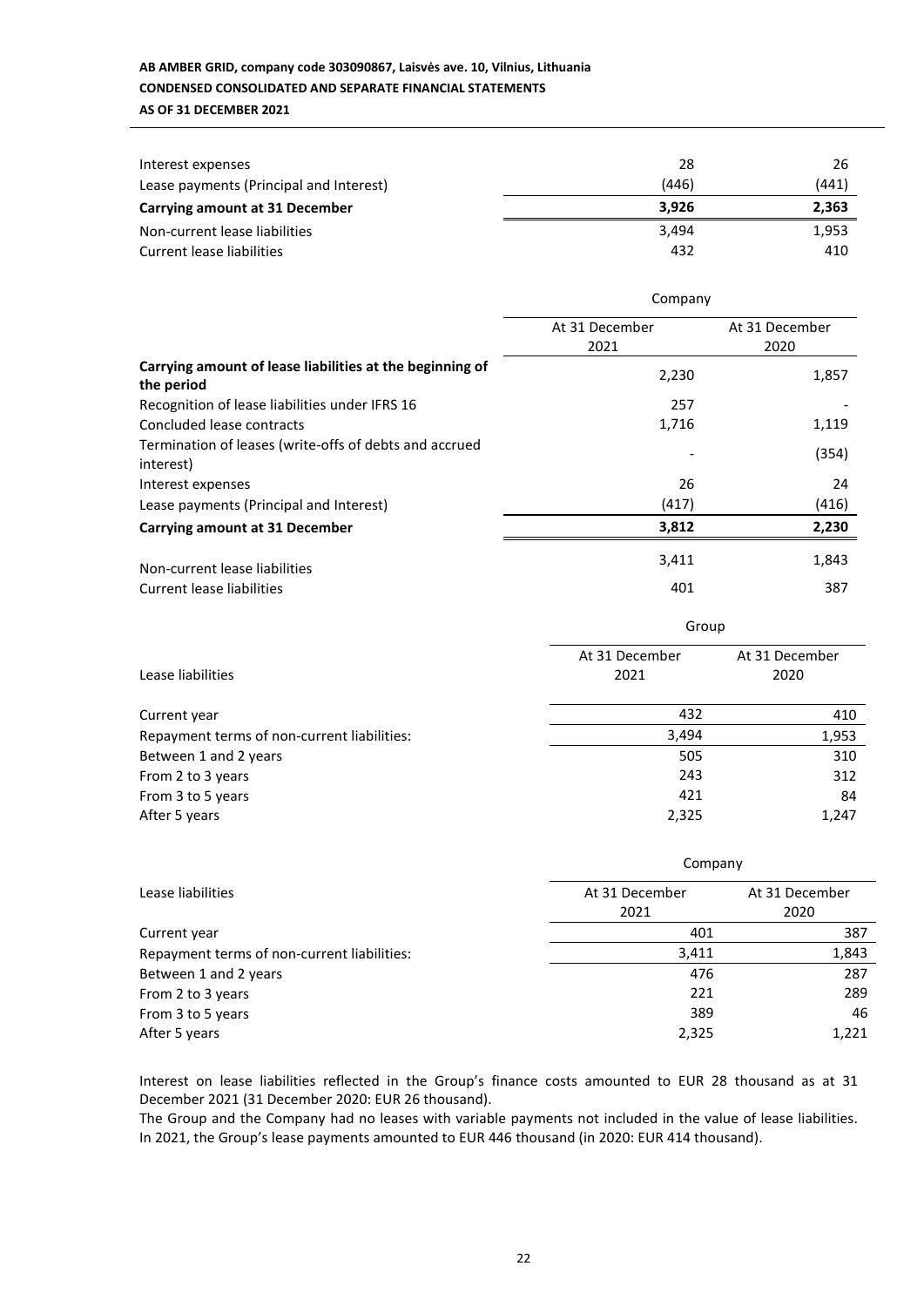### **AB AMBER GRID, company code 303090867, Laisvės ave. 10, Vilnius, Lithuania CONDENSED CONSOLIDATED AND SEPARATE FINANCIAL STATEMENTS AS OF 31 DECEMBER 2021**

| Interest expenses<br>Lease payments (Principal and Interest) | 28<br>(446) | 26<br>(441) |
|--------------------------------------------------------------|-------------|-------------|
| Carrying amount at 31 December                               | 3.926       | 2,363       |
| Non-current lease liabilities                                | 3,494       | 1,953       |
| Current lease liabilities                                    | 432         | 410         |

|                                                                        | Company                |                        |  |
|------------------------------------------------------------------------|------------------------|------------------------|--|
|                                                                        | At 31 December<br>2021 | At 31 December<br>2020 |  |
| Carrying amount of lease liabilities at the beginning of<br>the period | 2,230                  | 1,857                  |  |
| Recognition of lease liabilities under IFRS 16                         | 257                    |                        |  |
| Concluded lease contracts                                              | 1,716                  | 1,119                  |  |
| Termination of leases (write-offs of debts and accrued<br>interest)    |                        | (354)                  |  |
| Interest expenses                                                      | 26                     | 24                     |  |
| Lease payments (Principal and Interest)                                | (417)                  | (416)                  |  |
| <b>Carrying amount at 31 December</b>                                  | 3,812                  | 2,230                  |  |
| Non-current lease liabilities                                          | 3,411                  | 1,843                  |  |
| Current lease liabilities                                              | 401                    | 387                    |  |

|                                             | Group                  |                        |  |  |
|---------------------------------------------|------------------------|------------------------|--|--|
| Lease liabilities                           | At 31 December<br>2021 | At 31 December<br>2020 |  |  |
| Current year                                | 432                    | 410                    |  |  |
| Repayment terms of non-current liabilities: | 3,494                  | 1,953                  |  |  |
| Between 1 and 2 years                       | 505                    | 310                    |  |  |
| From 2 to 3 years                           | 243                    | 312                    |  |  |
| From 3 to 5 years                           | 421                    | 84                     |  |  |
| After 5 years                               | 2,325                  | 1,247                  |  |  |

|                                             | Company        |                |  |  |
|---------------------------------------------|----------------|----------------|--|--|
| Lease liabilities                           | At 31 December | At 31 December |  |  |
|                                             | 2021           | 2020           |  |  |
| Current year                                | 401            | 387            |  |  |
| Repayment terms of non-current liabilities: | 3,411          |                |  |  |
| Between 1 and 2 years                       | 476            | 287            |  |  |
| From 2 to 3 years                           | 221            | 289            |  |  |
| From 3 to 5 years                           | 389            | 46             |  |  |
| After 5 years                               | 2,325          | 1,221          |  |  |

Interest on lease liabilities reflected in the Group's finance costs amounted to EUR 28 thousand as at 31 December 2021 (31 December 2020: EUR 26 thousand).

The Group and the Company had no leases with variable payments not included in the value of lease liabilities. In 2021, the Group's lease payments amounted to EUR 446 thousand (in 2020: EUR 414 thousand).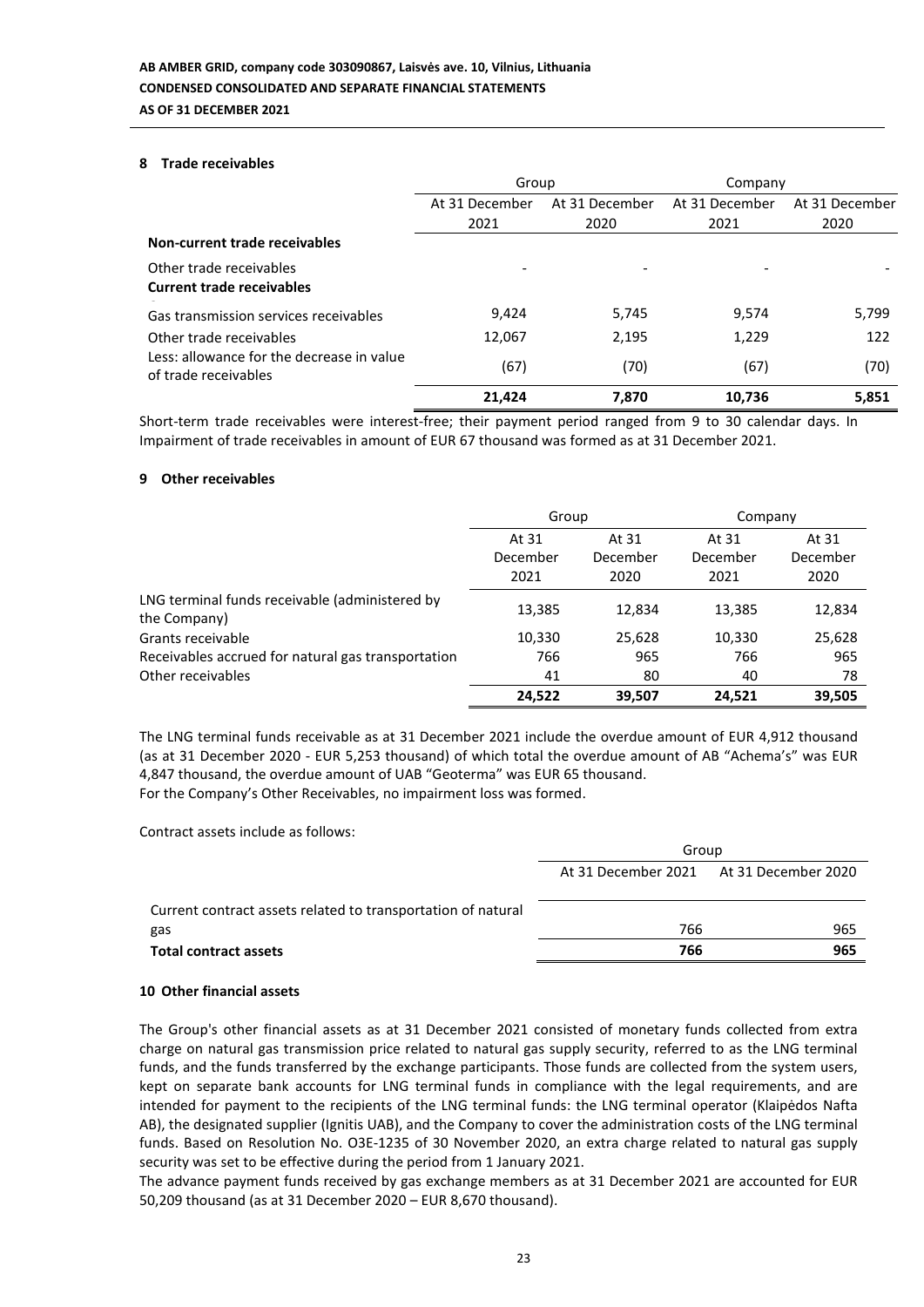### **8 Trade receivables**

|                                                                   | Group          |                | Company        |                |
|-------------------------------------------------------------------|----------------|----------------|----------------|----------------|
|                                                                   | At 31 December | At 31 December | At 31 December | At 31 December |
|                                                                   | 2021           | 2020           | 2021           | 2020           |
| Non-current trade receivables                                     |                |                |                |                |
| Other trade receivables<br><b>Current trade receivables</b>       |                |                |                |                |
| Gas transmission services receivables                             | 9,424          | 5,745          | 9,574          | 5,799          |
| Other trade receivables                                           | 12,067         | 2,195          | 1,229          | 122            |
| Less: allowance for the decrease in value<br>of trade receivables | (67)           | (70)           | (67)           | (70)           |
|                                                                   | 21.424         | 7.870          | 10.736         | 5,851          |

Short-term trade receivables were interest-free; their payment period ranged from 9 to 30 calendar days. In Impairment of trade receivables in amount of EUR 67 thousand was formed as at 31 December 2021.

### **9 Other receivables**

|                                                                | Group    |          | Company  |          |
|----------------------------------------------------------------|----------|----------|----------|----------|
|                                                                | At 31    | At 31    | At 31    | At 31    |
|                                                                | December | December | December | December |
|                                                                | 2021     | 2020     | 2021     | 2020     |
| LNG terminal funds receivable (administered by<br>the Company) | 13,385   | 12,834   | 13,385   | 12,834   |
| Grants receivable                                              | 10,330   | 25,628   | 10,330   | 25,628   |
| Receivables accrued for natural gas transportation             | 766      | 965      | 766      | 965      |
| Other receivables                                              | 41       | 80       | 40       | 78       |
|                                                                | 24,522   | 39,507   | 24,521   | 39,505   |

The LNG terminal funds receivable as at 31 December 2021 include the overdue amount of EUR 4,912 thousand (as at 31 December 2020 - EUR 5,253 thousand) of which total the overdue amount of AB "Achema's" was EUR 4,847 thousand, the overdue amount of UAB "Geoterma" was EUR 65 thousand. For the Company's Other Receivables, no impairment loss was formed.

Contract assets include as follows:

|                                                              | Group                                   |     |  |  |
|--------------------------------------------------------------|-----------------------------------------|-----|--|--|
|                                                              | At 31 December 2021 At 31 December 2020 |     |  |  |
| Current contract assets related to transportation of natural |                                         |     |  |  |
| gas                                                          | 766                                     | 965 |  |  |
| <b>Total contract assets</b>                                 | 766                                     | 965 |  |  |

#### **10 Other financial assets**

The Group's other financial assets as at 31 December 2021 consisted of monetary funds collected from extra charge on natural gas transmission price related to natural gas supply security, referred to as the LNG terminal funds, and the funds transferred by the exchange participants. Those funds are collected from the system users, kept on separate bank accounts for LNG terminal funds in compliance with the legal requirements, and are intended for payment to the recipients of the LNG terminal funds: the LNG terminal operator (Klaipėdos Nafta AB), the designated supplier (Ignitis UAB), and the Company to cover the administration costs of the LNG terminal funds. Based on Resolution No. O3E-1235 of 30 November 2020, an extra charge related to natural gas supply security was set to be effective during the period from 1 January 2021.

The advance payment funds received by gas exchange members as at 31 December 2021 are accounted for EUR 50,209 thousand (as at 31 December 2020 – EUR 8,670 thousand).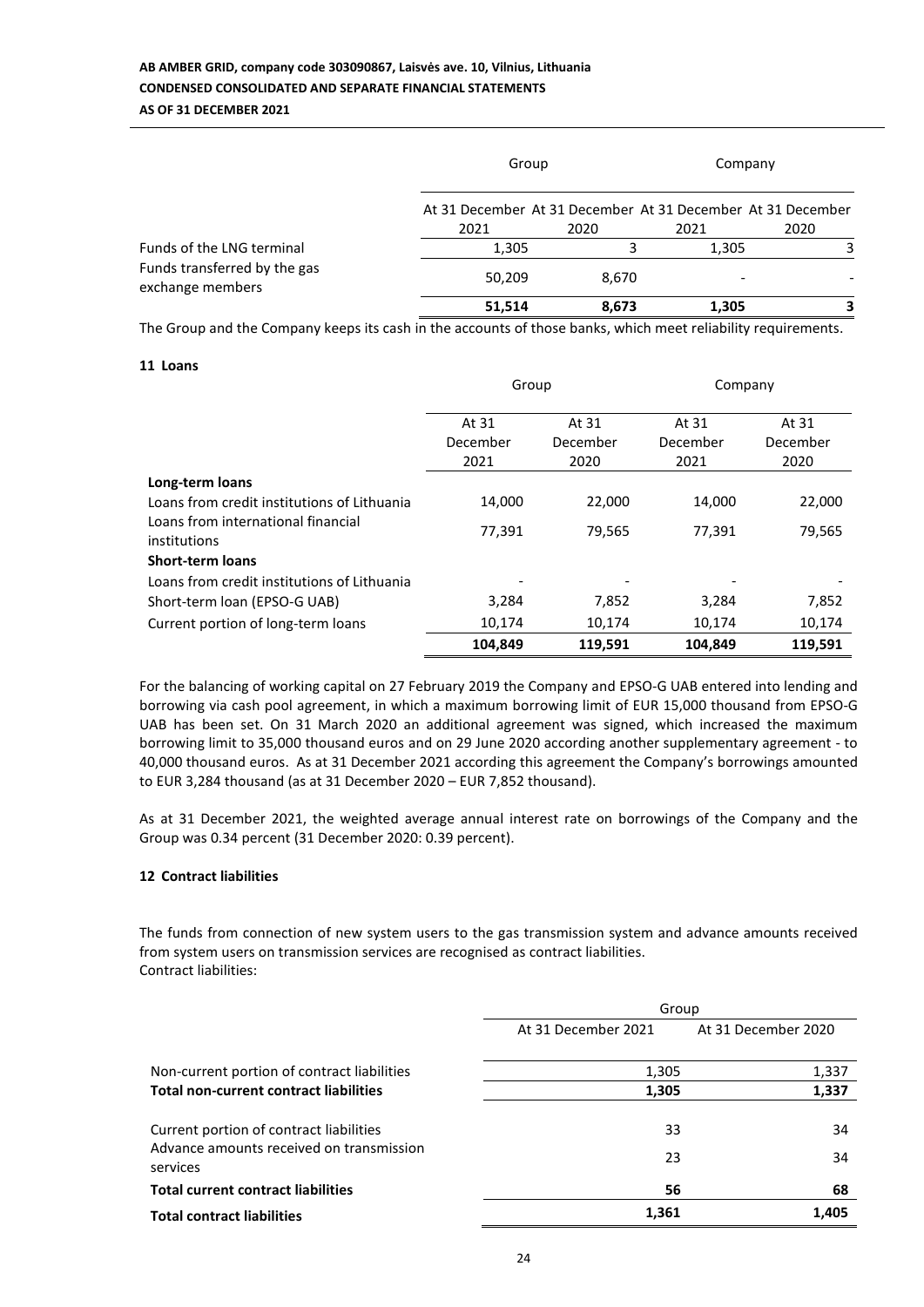### **AB AMBER GRID, company code 303090867, Laisvės ave. 10, Vilnius, Lithuania CONDENSED CONSOLIDATED AND SEPARATE FINANCIAL STATEMENTS AS OF 31 DECEMBER 2021**

|                                                  | Group                                                               |       | Company |      |  |
|--------------------------------------------------|---------------------------------------------------------------------|-------|---------|------|--|
|                                                  | At 31 December At 31 December At 31 December At 31 December<br>2021 | 2020  | 2021    | 2020 |  |
| Funds of the LNG terminal                        | 1,305                                                               |       | 1,305   | 3    |  |
| Funds transferred by the gas<br>exchange members | 50,209                                                              | 8,670 |         |      |  |
|                                                  | 51,514                                                              | 8,673 | 1,305   |      |  |

The Group and the Company keeps its cash in the accounts of those banks, which meet reliability requirements.

### **11 Loans**

|                                                    | Group    |          | Company  |          |  |
|----------------------------------------------------|----------|----------|----------|----------|--|
|                                                    | At 31    | At 31    | At 31    | At 31    |  |
|                                                    | December | December | December | December |  |
|                                                    | 2021     | 2020     | 2021     | 2020     |  |
| Long-term loans                                    |          |          |          |          |  |
| Loans from credit institutions of Lithuania        | 14,000   | 22,000   | 14,000   | 22,000   |  |
| Loans from international financial<br>institutions | 77,391   | 79,565   | 77,391   | 79,565   |  |
| <b>Short-term loans</b>                            |          |          |          |          |  |
| Loans from credit institutions of Lithuania        |          |          |          |          |  |
| Short-term loan (EPSO-G UAB)                       | 3,284    | 7,852    | 3,284    | 7,852    |  |
| Current portion of long-term loans                 | 10,174   | 10,174   | 10,174   | 10,174   |  |
|                                                    | 104,849  | 119,591  | 104,849  | 119,591  |  |

For the balancing of working capital on 27 February 2019 the Company and EPSO-G UAB entered into lending and borrowing via cash pool agreement, in which a maximum borrowing limit of EUR 15,000 thousand from EPSO-G UAB has been set. On 31 March 2020 an additional agreement was signed, which increased the maximum borrowing limit to 35,000 thousand euros and on 29 June 2020 according another supplementary agreement - to 40,000 thousand euros. As at 31 December 2021 according this agreement the Company's borrowings amounted to EUR 3,284 thousand (as at 31 December 2020 – EUR 7,852 thousand).

As at 31 December 2021, the weighted average annual interest rate on borrowings of the Company and the Group was 0.34 percent (31 December 2020: 0.39 percent).

### **12 Contract liabilities**

The funds from connection of new system users to the gas transmission system and advance amounts received from system users on transmission services are recognised as contract liabilities. Contract liabilities:

|                                                                                                 | Group               |                     |  |  |
|-------------------------------------------------------------------------------------------------|---------------------|---------------------|--|--|
|                                                                                                 | At 31 December 2021 | At 31 December 2020 |  |  |
| Non-current portion of contract liabilities                                                     | 1,305               | 1,337               |  |  |
| <b>Total non-current contract liabilities</b>                                                   | 1,305               | 1,337               |  |  |
| Current portion of contract liabilities<br>Advance amounts received on transmission<br>services | 33<br>23            | 34<br>34            |  |  |
| <b>Total current contract liabilities</b>                                                       | 56                  | 68                  |  |  |
| <b>Total contract liabilities</b>                                                               | 1,361               | 1,405               |  |  |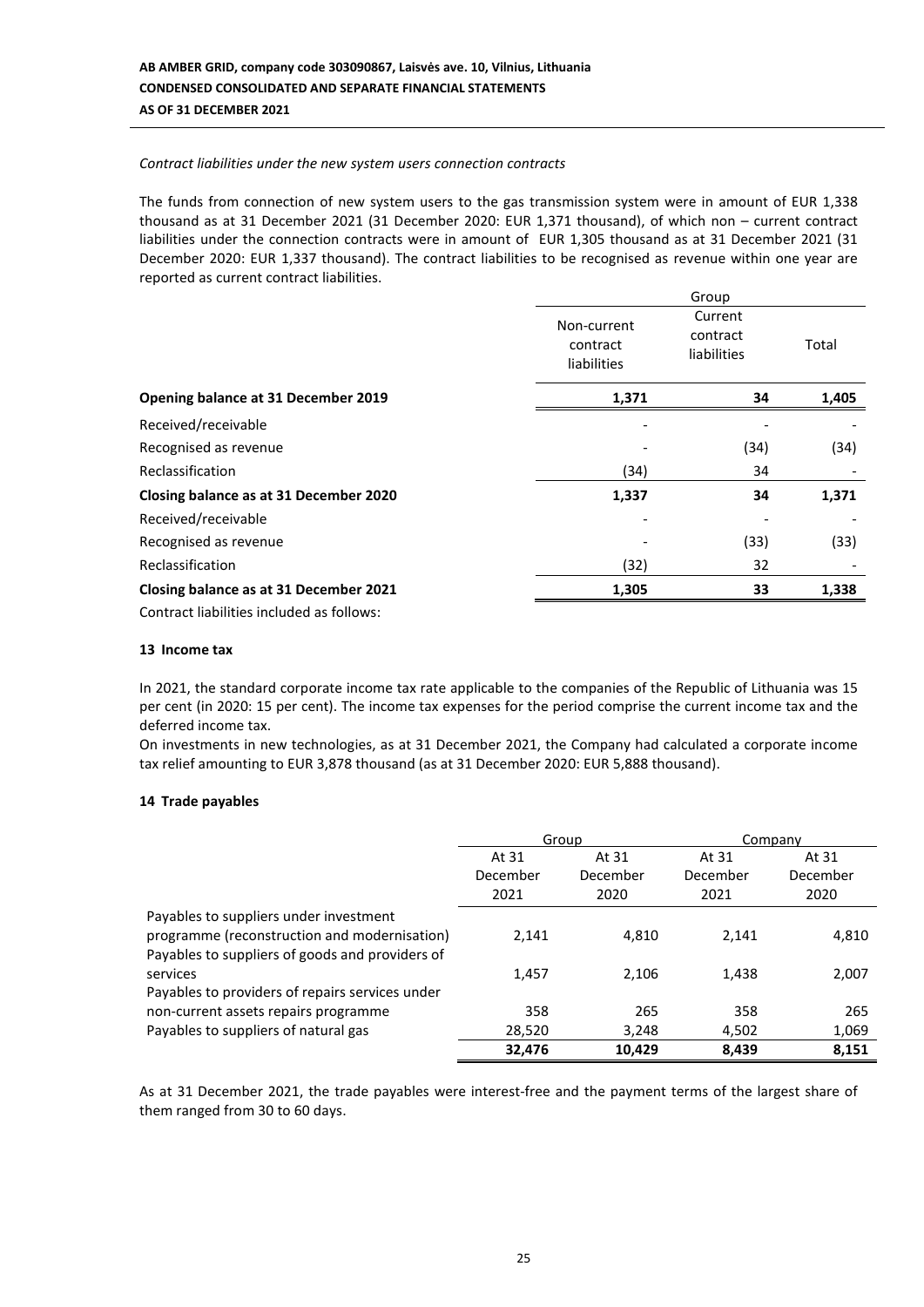### *Contract liabilities under the new system users connection contracts*

The funds from connection of new system users to the gas transmission system were in amount of EUR 1,338 thousand as at 31 December 2021 (31 December 2020: EUR 1,371 thousand), of which non – current contract liabilities under the connection contracts were in amount of EUR 1,305 thousand as at 31 December 2021 (31 December 2020: EUR 1,337 thousand). The contract liabilities to be recognised as revenue within one year are reported as current contract liabilities.

|                                           |                                        | Group                              |       |  |
|-------------------------------------------|----------------------------------------|------------------------------------|-------|--|
|                                           | Non-current<br>contract<br>liabilities | Current<br>contract<br>liabilities | Total |  |
| Opening balance at 31 December 2019       | 1,371                                  | 34                                 | 1,405 |  |
| Received/receivable                       |                                        |                                    |       |  |
| Recognised as revenue                     |                                        | (34)                               | (34)  |  |
| Reclassification                          | (34)                                   | 34                                 |       |  |
| Closing balance as at 31 December 2020    | 1,337                                  | 34                                 | 1,371 |  |
| Received/receivable                       |                                        |                                    |       |  |
| Recognised as revenue                     |                                        | (33)                               | (33)  |  |
| Reclassification                          | (32)                                   | 32                                 |       |  |
| Closing balance as at 31 December 2021    | 1,305                                  | 33                                 | 1,338 |  |
| Contract liabilities included as follows: |                                        |                                    |       |  |

#### **13 Income tax**

In 2021, the standard corporate income tax rate applicable to the companies of the Republic of Lithuania was 15 per cent (in 2020: 15 per cent). The income tax expenses for the period comprise the current income tax and the deferred income tax.

On investments in new technologies, as at 31 December 2021, the Company had calculated a corporate income tax relief amounting to EUR 3,878 thousand (as at 31 December 2020: EUR 5,888 thousand).

### **14 Trade payables**

|                                                 | Group    |          | Company  |          |
|-------------------------------------------------|----------|----------|----------|----------|
|                                                 | At 31    | At 31    | At 31    | At 31    |
|                                                 | December | December | December | December |
|                                                 | 2021     | 2020     | 2021     | 2020     |
| Payables to suppliers under investment          |          |          |          |          |
| programme (reconstruction and modernisation)    | 2,141    | 4,810    | 2,141    | 4,810    |
| Payables to suppliers of goods and providers of |          |          |          |          |
| services                                        | 1.457    | 2,106    | 1,438    | 2,007    |
| Payables to providers of repairs services under |          |          |          |          |
| non-current assets repairs programme            | 358      | 265      | 358      | 265      |
| Payables to suppliers of natural gas            | 28,520   | 3,248    | 4,502    | 1,069    |
|                                                 | 32,476   | 10,429   | 8,439    | 8,151    |

As at 31 December 2021, the trade payables were interest-free and the payment terms of the largest share of them ranged from 30 to 60 days.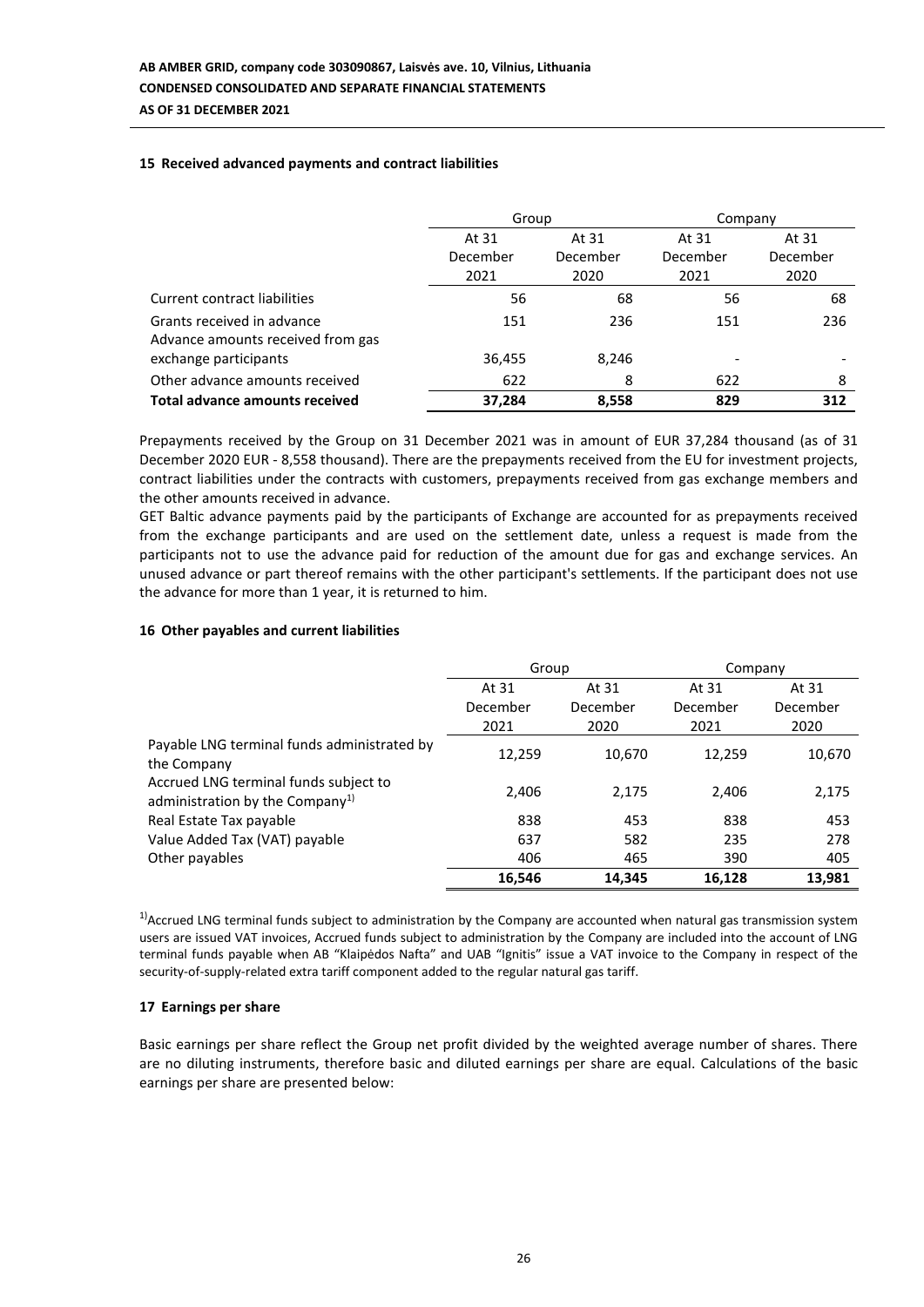### **15 Received advanced payments and contract liabilities**

|                                   | Group    |          | Company  |          |  |
|-----------------------------------|----------|----------|----------|----------|--|
|                                   | At 31    | At 31    | At 31    | At 31    |  |
|                                   | December | December | December | December |  |
|                                   | 2021     | 2020     | 2021     | 2020     |  |
| Current contract liabilities      | 56       | 68       | 56       | 68       |  |
| Grants received in advance        | 151      | 236      | 151      | 236      |  |
| Advance amounts received from gas |          |          |          |          |  |
| exchange participants             | 36,455   | 8,246    |          |          |  |
| Other advance amounts received    | 622      | 8        | 622      | 8        |  |
| Total advance amounts received    | 37.284   | 8,558    | 829      | 312      |  |

Prepayments received by the Group on 31 December 2021 was in amount of EUR 37,284 thousand (as of 31 December 2020 EUR - 8,558 thousand). There are the prepayments received from the EU for investment projects, contract liabilities under the contracts with customers, prepayments received from gas exchange members and the other amounts received in advance.

GET Baltic advance payments paid by the participants of Exchange are accounted for as prepayments received from the exchange participants and are used on the settlement date, unless a request is made from the participants not to use the advance paid for reduction of the amount due for gas and exchange services. An unused advance or part thereof remains with the other participant's settlements. If the participant does not use the advance for more than 1 year, it is returned to him.

### **16 Other payables and current liabilities**

|                                                                                      | Group    |          | Company  |          |  |
|--------------------------------------------------------------------------------------|----------|----------|----------|----------|--|
|                                                                                      | At 31    | At 31    | At 31    | At 31    |  |
|                                                                                      | December | December | December | December |  |
|                                                                                      | 2021     | 2020     | 2021     | 2020     |  |
| Payable LNG terminal funds administrated by<br>the Company                           | 12,259   | 10,670   | 12,259   | 10,670   |  |
| Accrued LNG terminal funds subject to<br>administration by the Company <sup>1)</sup> | 2,406    | 2,175    | 2,406    | 2,175    |  |
| Real Estate Tax payable                                                              | 838      | 453      | 838      | 453      |  |
| Value Added Tax (VAT) payable                                                        | 637      | 582      | 235      | 278      |  |
| Other payables                                                                       | 406      | 465      | 390      | 405      |  |
|                                                                                      | 16,546   | 14,345   | 16,128   | 13,981   |  |

 $1)$ Accrued LNG terminal funds subject to administration by the Company are accounted when natural gas transmission system users are issued VAT invoices, Accrued funds subject to administration by the Company are included into the account of LNG terminal funds payable when AB "Klaipėdos Nafta" and UAB "Ignitis" issue a VAT invoice to the Company in respect of the security-of-supply-related extra tariff component added to the regular natural gas tariff.

### **17 Earnings per share**

Basic earnings per share reflect the Group net profit divided by the weighted average number of shares. There are no diluting instruments, therefore basic and diluted earnings per share are equal. Calculations of the basic earnings per share are presented below: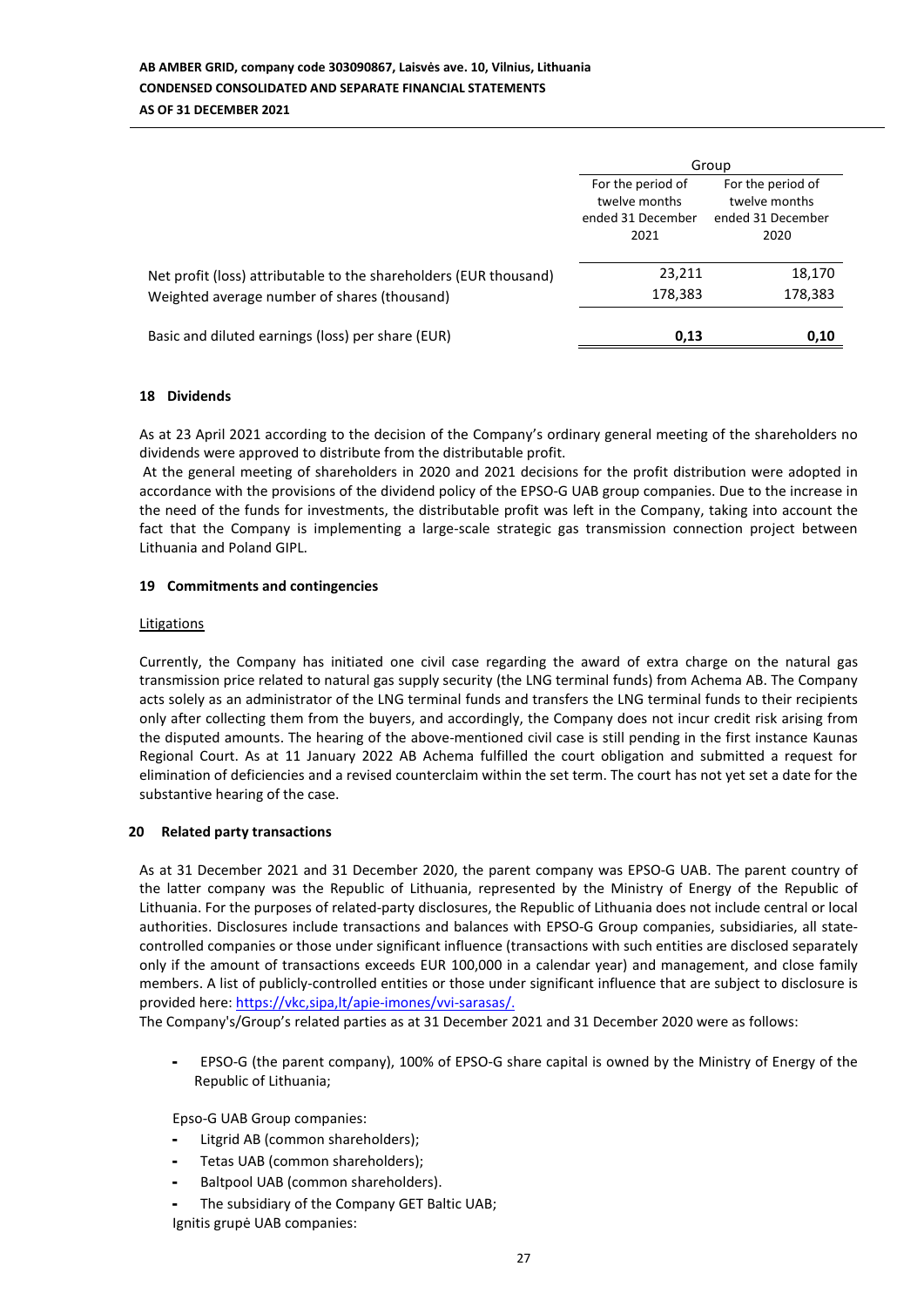|                                                                   |                                                                 | Group                                                           |
|-------------------------------------------------------------------|-----------------------------------------------------------------|-----------------------------------------------------------------|
|                                                                   | For the period of<br>twelve months<br>ended 31 December<br>2021 | For the period of<br>twelve months<br>ended 31 December<br>2020 |
| Net profit (loss) attributable to the shareholders (EUR thousand) | 23,211                                                          | 18,170                                                          |
| Weighted average number of shares (thousand)                      | 178,383                                                         | 178,383                                                         |
| Basic and diluted earnings (loss) per share (EUR)                 | 0,13                                                            | 0,10                                                            |

### **18 Dividends**

As at 23 April 2021 according to the decision of the Company's ordinary general meeting of the shareholders no dividends were approved to distribute from the distributable profit.

At the general meeting of shareholders in 2020 and 2021 decisions for the profit distribution were adopted in accordance with the provisions of the dividend policy of the EPSO-G UAB group companies. Due to the increase in the need of the funds for investments, the distributable profit was left in the Company, taking into account the fact that the Company is implementing a large-scale strategic gas transmission connection project between Lithuania and Poland GIPL.

### **19 Commitments and contingencies**

### **Litigations**

Currently, the Company has initiated one civil case regarding the award of extra charge on the natural gas transmission price related to natural gas supply security (the LNG terminal funds) from Achema AB. The Company acts solely as an administrator of the LNG terminal funds and transfers the LNG terminal funds to their recipients only after collecting them from the buyers, and accordingly, the Company does not incur credit risk arising from the disputed amounts. The hearing of the above-mentioned civil case is still pending in the first instance Kaunas Regional Court. As at 11 January 2022 AB Achema fulfilled the court obligation and submitted a request for elimination of deficiencies and a revised counterclaim within the set term. The court has not yet set a date for the substantive hearing of the case.

### **20 Related party transactions**

As at 31 December 2021 and 31 December 2020, the parent company was EPSO-G UAB. The parent country of the latter company was the Republic of Lithuania, represented by the Ministry of Energy of the Republic of Lithuania. For the purposes of related-party disclosures, the Republic of Lithuania does not include central or local authorities. Disclosures include transactions and balances with EPSO-G Group companies, subsidiaries, all statecontrolled companies or those under significant influence (transactions with such entities are disclosed separately only if the amount of transactions exceeds EUR 100,000 in a calendar year) and management, and close family members. A list of publicly-controlled entities or those under significant influence that are subject to disclosure is provided here: [https://vkc,sipa,lt/apie-imones/vvi-sarasas/.](https://vkc.sipa.lt/apie-imones/vvi-sarasas/)

The Company's/Group's related parties as at 31 December 2021 and 31 December 2020 were as follows:

- EPSO-G (the parent company), 100% of EPSO-G share capital is owned by the Ministry of Energy of the Republic of Lithuania;

Epso-G UAB Group companies:

- Litgrid AB (common shareholders);
- Tetas UAB (common shareholders);
- Baltpool UAB (common shareholders).
- The subsidiary of the Company GET Baltic UAB; Ignitis grupė UAB companies: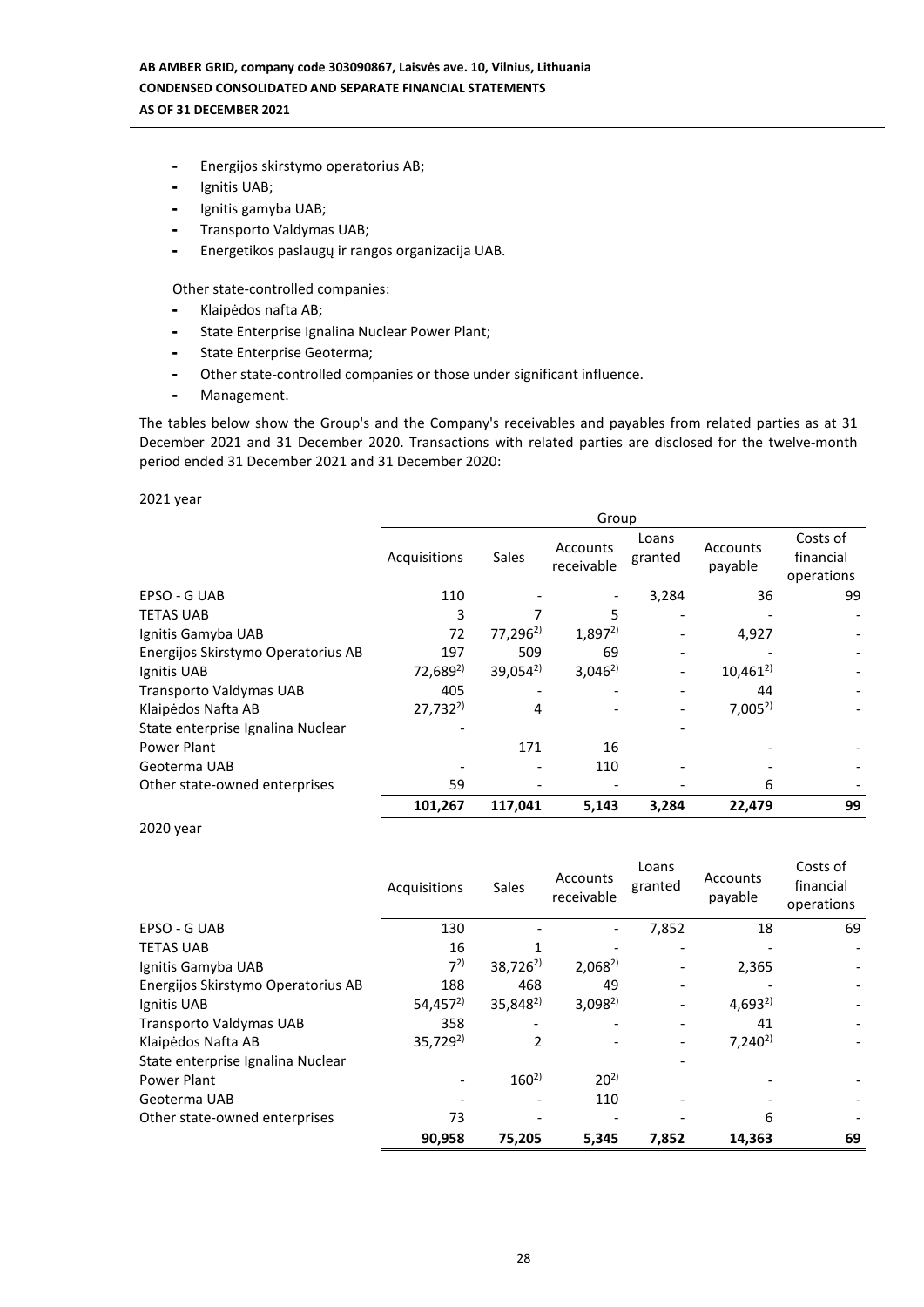- Energijos skirstymo operatorius AB;
- Ignitis UAB;
- Ignitis gamyba UAB;
- Transporto Valdymas UAB;
- Energetikos paslaugų ir rangos organizacija UAB.

Other state-controlled companies:

- Klaipėdos nafta AB;
- State Enterprise Ignalina Nuclear Power Plant;
- State Enterprise Geoterma;
- Other state-controlled companies or those under significant influence.
- Management.

The tables below show the Group's and the Company's receivables and payables from related parties as at 31 December 2021 and 31 December 2020. Transactions with related parties are disclosed for the twelve-month period ended 31 December 2021 and 31 December 2020:

2021 year

|                                    | Group        |              |                        |                  |                     |                                     |
|------------------------------------|--------------|--------------|------------------------|------------------|---------------------|-------------------------------------|
|                                    | Acquisitions | Sales        | Accounts<br>receivable | Loans<br>granted | Accounts<br>payable | Costs of<br>financial<br>operations |
| EPSO - G UAB                       | 110          |              |                        | 3,284            | 36                  | 99                                  |
| <b>TETAS UAB</b>                   | 3            |              | 5                      |                  |                     |                                     |
| Ignitis Gamyba UAB                 | 72           | $77,296^{2}$ | $1,897^{2}$            |                  | 4,927               |                                     |
| Energijos Skirstymo Operatorius AB | 197          | 509          | 69                     |                  |                     |                                     |
| Ignitis UAB                        | $72,689^{2}$ | $39,054^{2}$ | $3,046^{2}$            |                  | $10,461^{2}$        |                                     |
| Transporto Valdymas UAB            | 405          |              |                        |                  | 44                  |                                     |
| Klaipėdos Nafta AB                 | $27,732^{2}$ | 4            |                        |                  | $7,005^{2}$         |                                     |
| State enterprise Ignalina Nuclear  |              |              |                        |                  |                     |                                     |
| Power Plant                        |              | 171          | 16                     |                  |                     |                                     |
| Geoterma UAB                       |              |              | 110                    |                  |                     |                                     |
| Other state-owned enterprises      | 59           |              |                        |                  | 6                   |                                     |
|                                    | 101,267      | 117,041      | 5,143                  | 3,284            | 22,479              | 99                                  |

2020 year

|                                    | Acquisitions | Sales        | Accounts<br>receivable | Loans<br>granted | Accounts<br>payable | Costs of<br>financial<br>operations |
|------------------------------------|--------------|--------------|------------------------|------------------|---------------------|-------------------------------------|
| EPSO - G UAB                       | 130          |              |                        | 7,852            | 18                  | 69                                  |
| <b>TETAS UAB</b>                   | 16           |              |                        |                  |                     |                                     |
| Ignitis Gamyba UAB                 | $7^{2}$      | $38,726^{2}$ | $2,068^{2}$            |                  | 2,365               |                                     |
| Energijos Skirstymo Operatorius AB | 188          | 468          | 49                     |                  |                     |                                     |
| Ignitis UAB                        | $54,457^{2}$ | $35,848^{2}$ | $3,098^{2}$            |                  | $4,693^{2}$         |                                     |
| Transporto Valdymas UAB            | 358          |              |                        |                  | 41                  |                                     |
| Klaipėdos Nafta AB                 | $35,729^{2}$ |              |                        |                  | $7,240^{2}$         |                                     |
| State enterprise Ignalina Nuclear  |              |              |                        |                  |                     |                                     |
| Power Plant                        |              | $160^{2}$    | $20^{2}$               |                  |                     |                                     |
| Geoterma UAB                       |              |              | 110                    |                  |                     |                                     |
| Other state-owned enterprises      | 73           |              |                        |                  | 6                   |                                     |
|                                    | 90,958       | 75,205       | 5,345                  | 7,852            | 14,363              | 69                                  |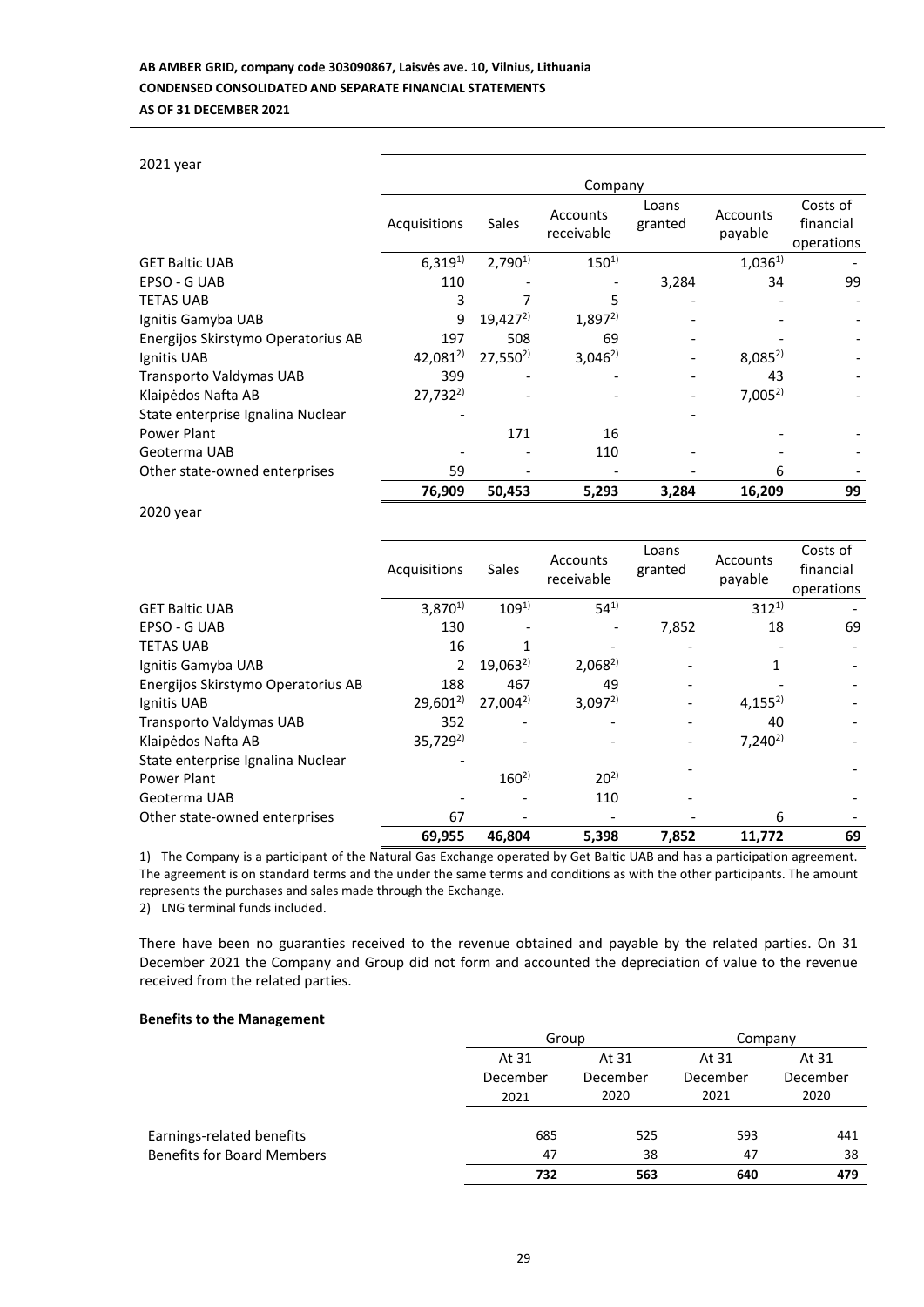### **AB AMBER GRID, company code 303090867, Laisvės ave. 10, Vilnius, Lithuania CONDENSED CONSOLIDATED AND SEPARATE FINANCIAL STATEMENTS AS OF 31 DECEMBER 2021**

2021 year

|                                    | Company      |              |                        |                  |                     |                                     |
|------------------------------------|--------------|--------------|------------------------|------------------|---------------------|-------------------------------------|
|                                    | Acquisitions | Sales        | Accounts<br>receivable | Loans<br>granted | Accounts<br>payable | Costs of<br>financial<br>operations |
| <b>GET Baltic UAB</b>              | $6,319^{1}$  | $2,790^{1}$  | $150^{1}$              |                  | $1,036^{1}$         |                                     |
| EPSO - G UAB                       | 110          |              |                        | 3,284            | 34                  | 99                                  |
| <b>TETAS UAB</b>                   | 3            |              | 5                      |                  |                     |                                     |
| Ignitis Gamyba UAB                 | 9            | $19,427^{2}$ | $1,897^{2}$            |                  |                     |                                     |
| Energijos Skirstymo Operatorius AB | 197          | 508          | 69                     |                  |                     |                                     |
| Ignitis UAB                        | $42,081^{2}$ | $27,550^{2}$ | $3,046^{2}$            |                  | $8,085^{2}$         |                                     |
| Transporto Valdymas UAB            | 399          |              |                        |                  | 43                  |                                     |
| Klaipėdos Nafta AB                 | $27,732^{2}$ |              |                        |                  | $7,005^{2}$         |                                     |
| State enterprise Ignalina Nuclear  |              |              |                        |                  |                     |                                     |
| Power Plant                        |              | 171          | 16                     |                  |                     |                                     |
| Geoterma UAB                       |              |              | 110                    |                  |                     |                                     |
| Other state-owned enterprises      | 59           |              |                        |                  | 6                   |                                     |
|                                    | 76,909       | 50,453       | 5,293                  | 3,284            | 16,209              | 99                                  |

2020 year

|                                    | Acquisitions | Sales        | Accounts<br>receivable | Loans<br>granted | Accounts<br>payable | Costs of<br>financial<br>operations |
|------------------------------------|--------------|--------------|------------------------|------------------|---------------------|-------------------------------------|
| <b>GET Baltic UAB</b>              | $3,870^{1}$  | $109^{1}$    | $54^{1}$               |                  | $312^{1}$           |                                     |
| EPSO - G UAB                       | 130          |              |                        | 7,852            | 18                  | 69                                  |
| <b>TETAS UAB</b>                   | 16           |              |                        |                  |                     |                                     |
| Ignitis Gamyba UAB                 | 2            | $19,063^{2}$ | $2,068^{2}$            |                  |                     |                                     |
| Energijos Skirstymo Operatorius AB | 188          | 467          | 49                     |                  |                     |                                     |
| Ignitis UAB                        | $29,601^{2}$ | $27,004^{2}$ | $3,097^{2}$            |                  | $4,155^{2}$         |                                     |
| Transporto Valdymas UAB            | 352          |              |                        |                  | 40                  |                                     |
| Klaipėdos Nafta AB                 | $35,729^{2}$ |              |                        |                  | $7,240^{2}$         |                                     |
| State enterprise Ignalina Nuclear  |              |              |                        |                  |                     |                                     |
| <b>Power Plant</b>                 |              | $160^{2}$    | $20^{2}$               |                  |                     |                                     |
| Geoterma UAB                       |              |              | 110                    |                  |                     |                                     |
| Other state-owned enterprises      | 67           |              |                        |                  | 6                   |                                     |
|                                    | 69,955       | 46,804       | 5,398                  | 7,852            | 11,772              | 69                                  |

1) The Company is a participant of the Natural Gas Exchange operated by Get Baltic UAB and has a participation agreement. The agreement is on standard terms and the under the same terms and conditions as with the other participants. The amount represents the purchases and sales made through the Exchange.

2) LNG terminal funds included.

There have been no guaranties received to the revenue obtained and payable by the related parties. On 31 December 2021 the Company and Group did not form and accounted the depreciation of value to the revenue received from the related parties.

#### **Benefits to the Management**

|                                   | Group    |          | Company  |          |  |
|-----------------------------------|----------|----------|----------|----------|--|
|                                   | At 31    | At 31    | At 31    | At 31    |  |
|                                   | December | December | December | December |  |
|                                   | 2021     | 2020     | 2021     | 2020     |  |
|                                   |          |          |          |          |  |
| Earnings-related benefits         | 685      | 525      | 593      | 441      |  |
| <b>Benefits for Board Members</b> | 47       | 38       | 47       | 38       |  |
|                                   | 732      | 563      | 640      | 479      |  |